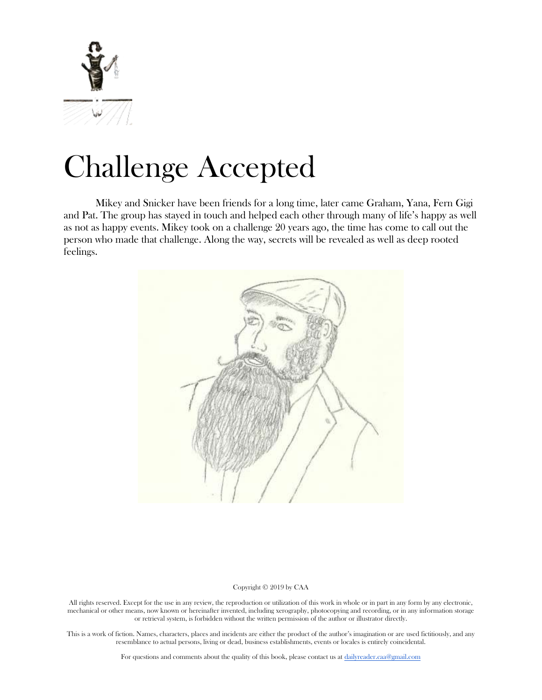

# Challenge Accepted

Mikey and Snicker have been friends for a long time, later came Graham, Yana, Fern Gigi and Pat. The group has stayed in touch and helped each other through many of life's happy as well as not as happy events. Mikey took on a challenge 20 years ago, the time has come to call out the person who made that challenge. Along the way, secrets will be revealed as well as deep rooted feelings.



#### Copyright © 2019 by CAA

All rights reserved. Except for the use in any review, the reproduction or utilization of this work in whole or in part in any form by any electronic, mechanical or other means, now known or hereinafter invented, including xerography, photocopying and recording, or in any information storage or retrieval system, is forbidden without the written permission of the author or illustrator directly.

This is a work of fiction. Names, characters, places and incidents are either the product of the author's imagination or are used fictitiously, and any resemblance to actual persons, living or dead, business establishments, events or locales is entirely coincidental.

For questions and comments about the quality of this book, please contact us at [dailyreader.caa@gmail.com](mailto:dailyreader.caa@gmail.com)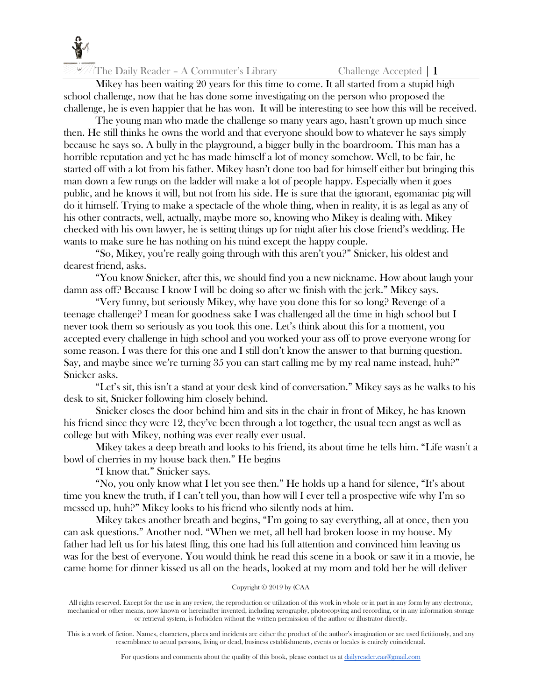

Mikey has been waiting 20 years for this time to come. It all started from a stupid high school challenge, now that he has done some investigating on the person who proposed the challenge, he is even happier that he has won. It will be interesting to see how this will be received.

The young man who made the challenge so many years ago, hasn't grown up much since then. He still thinks he owns the world and that everyone should bow to whatever he says simply because he says so. A bully in the playground, a bigger bully in the boardroom. This man has a horrible reputation and yet he has made himself a lot of money somehow. Well, to be fair, he started off with a lot from his father. Mikey hasn't done too bad for himself either but bringing this man down a few rungs on the ladder will make a lot of people happy. Especially when it goes public, and he knows it will, but not from his side. He is sure that the ignorant, egomaniac pig will do it himself. Trying to make a spectacle of the whole thing, when in reality, it is as legal as any of his other contracts, well, actually, maybe more so, knowing who Mikey is dealing with. Mikey checked with his own lawyer, he is setting things up for night after his close friend's wedding. He wants to make sure he has nothing on his mind except the happy couple.

"So, Mikey, you're really going through with this aren't you?" Snicker, his oldest and dearest friend, asks.

"You know Snicker, after this, we should find you a new nickname. How about laugh your damn ass off? Because I know I will be doing so after we finish with the jerk." Mikey says.

"Very funny, but seriously Mikey, why have you done this for so long? Revenge of a teenage challenge? I mean for goodness sake I was challenged all the time in high school but I never took them so seriously as you took this one. Let's think about this for a moment, you accepted every challenge in high school and you worked your ass off to prove everyone wrong for some reason. I was there for this one and I still don't know the answer to that burning question. Say, and maybe since we're turning 35 you can start calling me by my real name instead, huh?" Snicker asks.

"Let's sit, this isn't a stand at your desk kind of conversation." Mikey says as he walks to his desk to sit, Snicker following him closely behind.

Snicker closes the door behind him and sits in the chair in front of Mikey, he has known his friend since they were 12, they've been through a lot together, the usual teen angst as well as college but with Mikey, nothing was ever really ever usual.

Mikey takes a deep breath and looks to his friend, its about time he tells him. "Life wasn't a bowl of cherries in my house back then." He begins

"I know that." Snicker says.

"No, you only know what I let you see then." He holds up a hand for silence, "It's about time you knew the truth, if I can't tell you, than how will I ever tell a prospective wife why I'm so messed up, huh?" Mikey looks to his friend who silently nods at him.

Mikey takes another breath and begins, "I'm going to say everything, all at once, then you can ask questions." Another nod. "When we met, all hell had broken loose in my house. My father had left us for his latest fling, this one had his full attention and convinced him leaving us was for the best of everyone. You would think he read this scene in a book or saw it in a movie, he came home for dinner kissed us all on the heads, looked at my mom and told her he will deliver

# Copyright © 2019 by (CAA

All rights reserved. Except for the use in any review, the reproduction or utilization of this work in whole or in part in any form by any electronic, mechanical or other means, now known or hereinafter invented, including xerography, photocopying and recording, or in any information storage or retrieval system, is forbidden without the written permission of the author or illustrator directly.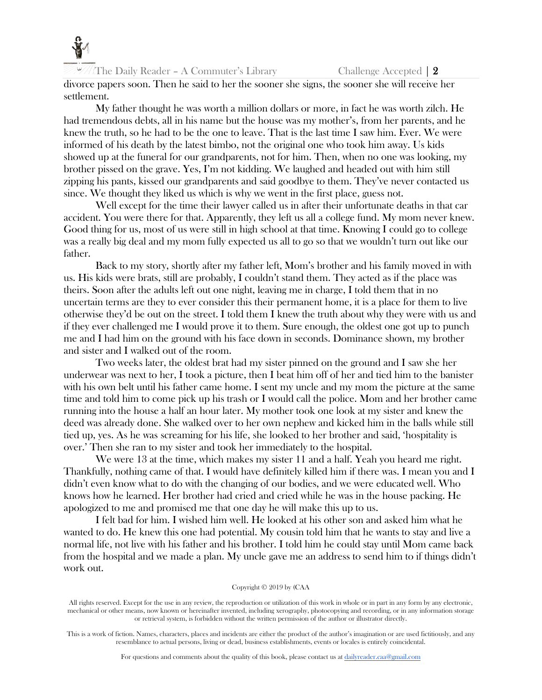

divorce papers soon. Then he said to her the sooner she signs, the sooner she will receive her settlement.

My father thought he was worth a million dollars or more, in fact he was worth zilch. He had tremendous debts, all in his name but the house was my mother's, from her parents, and he knew the truth, so he had to be the one to leave. That is the last time I saw him. Ever. We were informed of his death by the latest bimbo, not the original one who took him away. Us kids showed up at the funeral for our grandparents, not for him. Then, when no one was looking, my brother pissed on the grave. Yes, I'm not kidding. We laughed and headed out with him still zipping his pants, kissed our grandparents and said goodbye to them. They've never contacted us since. We thought they liked us which is why we went in the first place, guess not.

Well except for the time their lawyer called us in after their unfortunate deaths in that car accident. You were there for that. Apparently, they left us all a college fund. My mom never knew. Good thing for us, most of us were still in high school at that time. Knowing I could go to college was a really big deal and my mom fully expected us all to go so that we wouldn't turn out like our father.

Back to my story, shortly after my father left, Mom's brother and his family moved in with us. His kids were brats, still are probably, I couldn't stand them. They acted as if the place was theirs. Soon after the adults left out one night, leaving me in charge, I told them that in no uncertain terms are they to ever consider this their permanent home, it is a place for them to live otherwise they'd be out on the street. I told them I knew the truth about why they were with us and if they ever challenged me I would prove it to them. Sure enough, the oldest one got up to punch me and I had him on the ground with his face down in seconds. Dominance shown, my brother and sister and I walked out of the room.

Two weeks later, the oldest brat had my sister pinned on the ground and I saw she her underwear was next to her, I took a picture, then I beat him off of her and tied him to the banister with his own belt until his father came home. I sent my uncle and my mom the picture at the same time and told him to come pick up his trash or I would call the police. Mom and her brother came running into the house a half an hour later. My mother took one look at my sister and knew the deed was already done. She walked over to her own nephew and kicked him in the balls while still tied up, yes. As he was screaming for his life, she looked to her brother and said, 'hospitality is over.' Then she ran to my sister and took her immediately to the hospital.

We were 13 at the time, which makes my sister 11 and a half. Yeah you heard me right. Thankfully, nothing came of that. I would have definitely killed him if there was. I mean you and I didn't even know what to do with the changing of our bodies, and we were educated well. Who knows how he learned. Her brother had cried and cried while he was in the house packing. He apologized to me and promised me that one day he will make this up to us.

I felt bad for him. I wished him well. He looked at his other son and asked him what he wanted to do. He knew this one had potential. My cousin told him that he wants to stay and live a normal life, not live with his father and his brother. I told him he could stay until Mom came back from the hospital and we made a plan. My uncle gave me an address to send him to if things didn't work out.

#### Copyright © 2019 by (CAA

All rights reserved. Except for the use in any review, the reproduction or utilization of this work in whole or in part in any form by any electronic, mechanical or other means, now known or hereinafter invented, including xerography, photocopying and recording, or in any information storage or retrieval system, is forbidden without the written permission of the author or illustrator directly.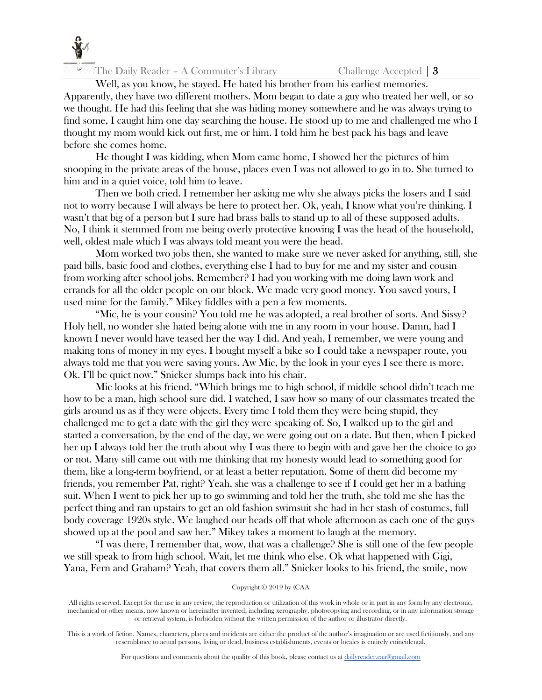

Well, as you know, he stayed. He hated his brother from his earliest memories. Apparently, they have two different mothers. Mom began to date a guy who treated her well, or so we thought. He had this feeling that she was hiding money somewhere and he was always trying to find some, I caught him one day searching the house. He stood up to me and challenged me who I thought my mom would kick out first, me or him. I told him he best pack his bags and leave before she comes home.

He thought I was kidding, when Mom came home, I showed her the pictures of him snooping in the private areas of the house, places even I was not allowed to go in to. She turned to him and in a quiet voice, told him to leave.

Then we both cried. I remember her asking me why she always picks the losers and I said not to worry because I will always be here to protect her. Ok, yeah, I know what you're thinking. I wasn't that big of a person but I sure had brass balls to stand up to all of these supposed adults. No, I think it stemmed from me being overly protective knowing I was the head of the household, well, oldest male which I was always told meant you were the head.

Mom worked two jobs then, she wanted to make sure we never asked for anything, still, she paid bills, basic food and clothes, everything else I had to buy for me and my sister and cousin from working after school jobs. Remember? I had you working with me doing lawn work and errands for all the older people on our block. We made very good money. You saved yours, I used mine for the family." Mikey fiddles with a pen a few moments.

"Mic, he is your cousin? You told me he was adopted, a real brother of sorts. And Sissy? Holy hell, no wonder she hated being alone with me in any room in your house. Damn, had I known I never would have teased her the way I did. And yeah, I remember, we were young and making tons of money in my eyes. I bought myself a bike so I could take a newspaper route, you always told me that you were saving yours. Aw Mic, by the look in your eyes I see there is more. Ok. I'll be quiet now." Snicker slumps back into his chair.

Mic looks at his friend. "Which brings me to high school, if middle school didn't teach me how to be a man, high school sure did. I watched, I saw how so many of our classmates treated the girls around us as if they were objects. Every time I told them they were being stupid, they challenged me to get a date with the girl they were speaking of. So, I walked up to the girl and started a conversation, by the end of the day, we were going out on a date. But then, when I picked her up I always told her the truth about why I was there to begin with and gave her the choice to go or not. Many still came out with me thinking that my honesty would lead to something good for them, like a long-term boyfriend, or at least a better reputation. Some of them did become my friends, you remember Pat, right? Yeah, she was a challenge to see if I could get her in a bathing suit. When I went to pick her up to go swimming and told her the truth, she told me she has the perfect thing and ran upstairs to get an old fashion swimsuit she had in her stash of costumes, full body coverage 1920s style. We laughed our heads off that whole afternoon as each one of the guys showed up at the pool and saw her." Mikey takes a moment to laugh at the memory.

"I was there, I remember that, wow, that was a challenge? She is still one of the few people we still speak to from high school. Wait, let me think who else. Ok what happened with Gigi, Yana, Fern and Graham? Yeah, that covers them all." Snicker looks to his friend, the smile, now

#### Copyright © 2019 by (CAA

All rights reserved. Except for the use in any review, the reproduction or utilization of this work in whole or in part in any form by any electronic, mechanical or other means, now known or hereinafter invented, including xerography, photocopying and recording, or in any information storage or retrieval system, is forbidden without the written permission of the author or illustrator directly.

This is a work of fiction. Names, characters, places and incidents are either the product of the author's imagination or are used fictitiously, and any resemblance to actual persons, living or dead, business establishments, events or locales is entirely coincidental.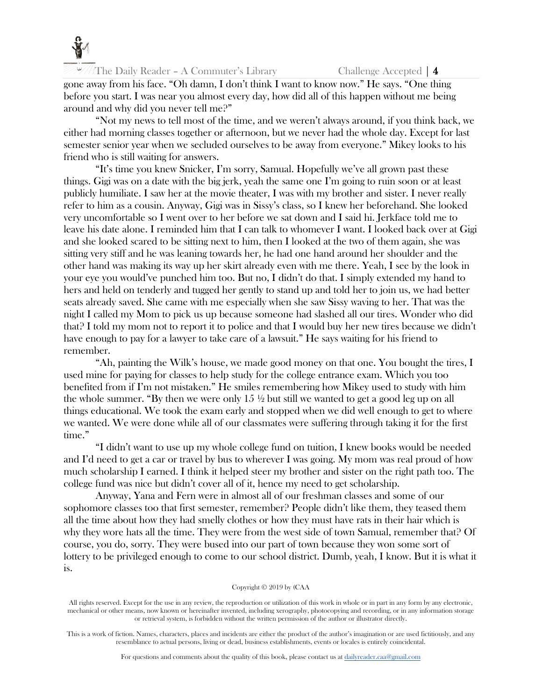

gone away from his face. "Oh damn, I don't think I want to know now." He says. "One thing before you start. I was near you almost every day, how did all of this happen without me being around and why did you never tell me?"

"Not my news to tell most of the time, and we weren't always around, if you think back, we either had morning classes together or afternoon, but we never had the whole day. Except for last semester senior year when we secluded ourselves to be away from everyone." Mikey looks to his friend who is still waiting for answers.

"It's time you knew Snicker, I'm sorry, Samual. Hopefully we've all grown past these things. Gigi was on a date with the big jerk, yeah the same one I'm going to ruin soon or at least publicly humiliate. I saw her at the movie theater, I was with my brother and sister. I never really refer to him as a cousin. Anyway, Gigi was in Sissy's class, so I knew her beforehand. She looked very uncomfortable so I went over to her before we sat down and I said hi. Jerkface told me to leave his date alone. I reminded him that I can talk to whomever I want. I looked back over at Gigi and she looked scared to be sitting next to him, then I looked at the two of them again, she was sitting very stiff and he was leaning towards her, he had one hand around her shoulder and the other hand was making its way up her skirt already even with me there. Yeah, I see by the look in your eye you would've punched him too. But no, I didn't do that. I simply extended my hand to hers and held on tenderly and tugged her gently to stand up and told her to join us, we had better seats already saved. She came with me especially when she saw Sissy waving to her. That was the night I called my Mom to pick us up because someone had slashed all our tires. Wonder who did that? I told my mom not to report it to police and that I would buy her new tires because we didn't have enough to pay for a lawyer to take care of a lawsuit." He says waiting for his friend to remember.

"Ah, painting the Wilk's house, we made good money on that one. You bought the tires, I used mine for paying for classes to help study for the college entrance exam. Which you too benefited from if I'm not mistaken." He smiles remembering how Mikey used to study with him the whole summer. "By then we were only  $15 \frac{1}{2}$  but still we wanted to get a good leg up on all things educational. We took the exam early and stopped when we did well enough to get to where we wanted. We were done while all of our classmates were suffering through taking it for the first time."

"I didn't want to use up my whole college fund on tuition, I knew books would be needed and I'd need to get a car or travel by bus to wherever I was going. My mom was real proud of how much scholarship I earned. I think it helped steer my brother and sister on the right path too. The college fund was nice but didn't cover all of it, hence my need to get scholarship.

Anyway, Yana and Fern were in almost all of our freshman classes and some of our sophomore classes too that first semester, remember? People didn't like them, they teased them all the time about how they had smelly clothes or how they must have rats in their hair which is why they wore hats all the time. They were from the west side of town Samual, remember that? Of course, you do, sorry. They were bused into our part of town because they won some sort of lottery to be privileged enough to come to our school district. Dumb, yeah, I know. But it is what it is.

#### Copyright © 2019 by (CAA

All rights reserved. Except for the use in any review, the reproduction or utilization of this work in whole or in part in any form by any electronic, mechanical or other means, now known or hereinafter invented, including xerography, photocopying and recording, or in any information storage or retrieval system, is forbidden without the written permission of the author or illustrator directly.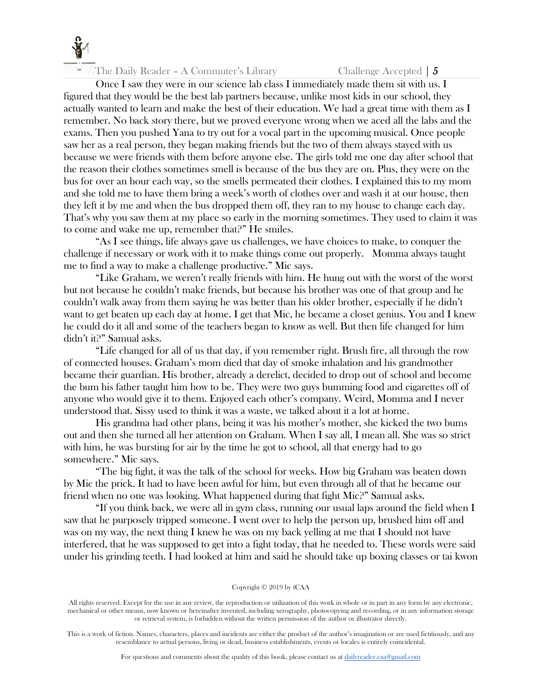

The Daily Reader – A Commuter's Library Challenge Accepted  $\vert 5 \rangle$ 

Once I saw they were in our science lab class I immediately made them sit with us. I figured that they would be the best lab partners because, unlike most kids in our school, they actually wanted to learn and make the best of their education. We had a great time with them as I remember. No back story there, but we proved everyone wrong when we aced all the labs and the exams. Then you pushed Yana to try out for a vocal part in the upcoming musical. Once people saw her as a real person, they began making friends but the two of them always stayed with us because we were friends with them before anyone else. The girls told me one day after school that the reason their clothes sometimes smell is because of the bus they are on. Plus, they were on the bus for over an hour each way, so the smells permeated their clothes. I explained this to my mom and she told me to have them bring a week's worth of clothes over and wash it at our house, then they left it by me and when the bus dropped them off, they ran to my house to change each day. That's why you saw them at my place so early in the morning sometimes. They used to claim it was to come and wake me up, remember that?" He smiles.

"As I see things, life always gave us challenges, we have choices to make, to conquer the challenge if necessary or work with it to make things come out properly. Momma always taught me to find a way to make a challenge productive." Mic says.

"Like Graham, we weren't really friends with him. He hung out with the worst of the worst but not because he couldn't make friends, but because his brother was one of that group and he couldn't walk away from them saying he was better than his older brother, especially if he didn't want to get beaten up each day at home. I get that Mic, he became a closet genius. You and I knew he could do it all and some of the teachers began to know as well. But then life changed for him didn't it?" Samual asks.

"Life changed for all of us that day, if you remember right. Brush fire, all through the row of connected houses. Graham's mom died that day of smoke inhalation and his grandmother became their guardian. His brother, already a derelict, decided to drop out of school and become the bum his father taught him how to be. They were two guys bumming food and cigarettes off of anyone who would give it to them. Enjoyed each other's company. Weird, Momma and I never understood that. Sissy used to think it was a waste, we talked about it a lot at home.

His grandma had other plans, being it was his mother's mother, she kicked the two bums out and then she turned all her attention on Graham. When I say all, I mean all. She was so strict with him, he was bursting for air by the time he got to school, all that energy had to go somewhere." Mic says.

"The big fight, it was the talk of the school for weeks. How big Graham was beaten down by Mic the prick. It had to have been awful for him, but even through all of that he became our friend when no one was looking. What happened during that fight Mic?" Samual asks.

"If you think back, we were all in gym class, running our usual laps around the field when I saw that he purposely tripped someone. I went over to help the person up, brushed him off and was on my way, the next thing I knew he was on my back yelling at me that I should not have interfered, that he was supposed to get into a fight today, that he needed to. These words were said under his grinding teeth. I had looked at him and said he should take up boxing classes or tai kwon

#### Copyright © 2019 by (CAA

All rights reserved. Except for the use in any review, the reproduction or utilization of this work in whole or in part in any form by any electronic, mechanical or other means, now known or hereinafter invented, including xerography, photocopying and recording, or in any information storage or retrieval system, is forbidden without the written permission of the author or illustrator directly.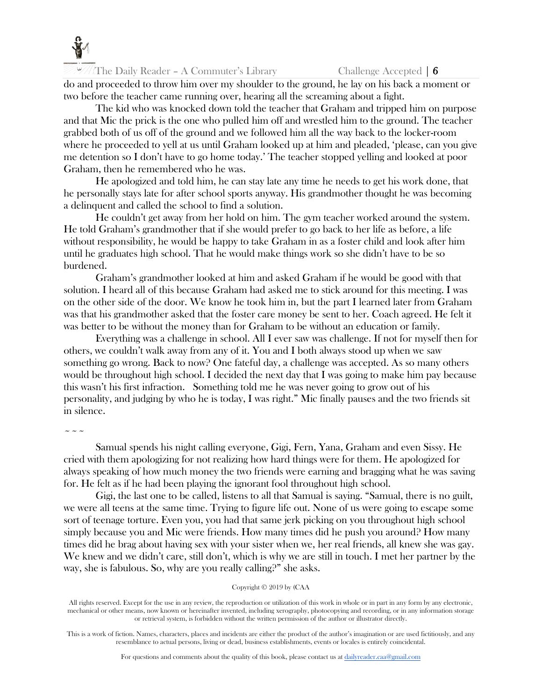

do and proceeded to throw him over my shoulder to the ground, he lay on his back a moment or two before the teacher came running over, hearing all the screaming about a fight.

The kid who was knocked down told the teacher that Graham and tripped him on purpose and that Mic the prick is the one who pulled him off and wrestled him to the ground. The teacher grabbed both of us off of the ground and we followed him all the way back to the locker-room where he proceeded to yell at us until Graham looked up at him and pleaded, 'please, can you give me detention so I don't have to go home today.' The teacher stopped yelling and looked at poor Graham, then he remembered who he was.

He apologized and told him, he can stay late any time he needs to get his work done, that he personally stays late for after school sports anyway. His grandmother thought he was becoming a delinquent and called the school to find a solution.

He couldn't get away from her hold on him. The gym teacher worked around the system. He told Graham's grandmother that if she would prefer to go back to her life as before, a life without responsibility, he would be happy to take Graham in as a foster child and look after him until he graduates high school. That he would make things work so she didn't have to be so burdened.

Graham's grandmother looked at him and asked Graham if he would be good with that solution. I heard all of this because Graham had asked me to stick around for this meeting. I was on the other side of the door. We know he took him in, but the part I learned later from Graham was that his grandmother asked that the foster care money be sent to her. Coach agreed. He felt it was better to be without the money than for Graham to be without an education or family.

Everything was a challenge in school. All I ever saw was challenge. If not for myself then for others, we couldn't walk away from any of it. You and I both always stood up when we saw something go wrong. Back to now? One fateful day, a challenge was accepted. As so many others would be throughout high school. I decided the next day that I was going to make him pay because this wasn't his first infraction. Something told me he was never going to grow out of his personality, and judging by who he is today, I was right." Mic finally pauses and the two friends sit in silence.

 $\sim$   $\sim$   $\sim$ 

Samual spends his night calling everyone, Gigi, Fern, Yana, Graham and even Sissy. He cried with them apologizing for not realizing how hard things were for them. He apologized for always speaking of how much money the two friends were earning and bragging what he was saving for. He felt as if he had been playing the ignorant fool throughout high school.

Gigi, the last one to be called, listens to all that Samual is saying. "Samual, there is no guilt, we were all teens at the same time. Trying to figure life out. None of us were going to escape some sort of teenage torture. Even you, you had that same jerk picking on you throughout high school simply because you and Mic were friends. How many times did he push you around? How many times did he brag about having sex with your sister when we, her real friends, all knew she was gay. We knew and we didn't care, still don't, which is why we are still in touch. I met her partner by the way, she is fabulous. So, why are you really calling?" she asks.

#### Copyright © 2019 by (CAA

All rights reserved. Except for the use in any review, the reproduction or utilization of this work in whole or in part in any form by any electronic, mechanical or other means, now known or hereinafter invented, including xerography, photocopying and recording, or in any information storage or retrieval system, is forbidden without the written permission of the author or illustrator directly.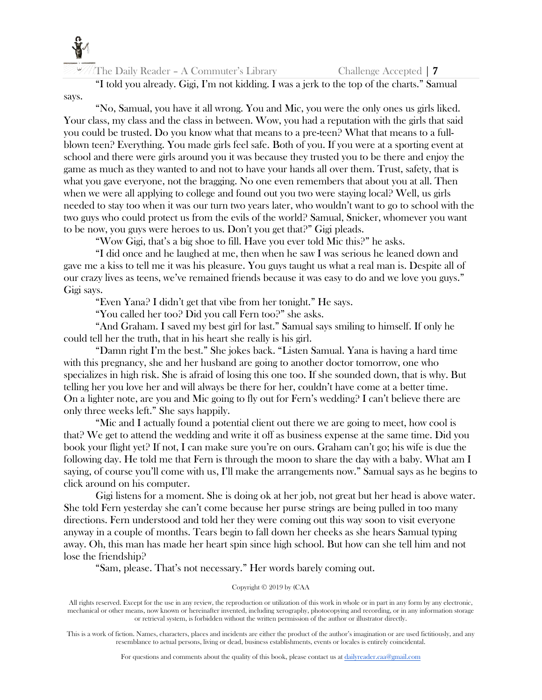

"I told you already. Gigi, I'm not kidding. I was a jerk to the top of the charts." Samual says.

"No, Samual, you have it all wrong. You and Mic, you were the only ones us girls liked. Your class, my class and the class in between. Wow, you had a reputation with the girls that said you could be trusted. Do you know what that means to a pre-teen? What that means to a fullblown teen? Everything. You made girls feel safe. Both of you. If you were at a sporting event at school and there were girls around you it was because they trusted you to be there and enjoy the game as much as they wanted to and not to have your hands all over them. Trust, safety, that is what you gave everyone, not the bragging. No one even remembers that about you at all. Then when we were all applying to college and found out you two were staying local? Well, us girls needed to stay too when it was our turn two years later, who wouldn't want to go to school with the two guys who could protect us from the evils of the world? Samual, Snicker, whomever you want to be now, you guys were heroes to us. Don't you get that?" Gigi pleads.

"Wow Gigi, that's a big shoe to fill. Have you ever told Mic this?" he asks.

"I did once and he laughed at me, then when he saw I was serious he leaned down and gave me a kiss to tell me it was his pleasure. You guys taught us what a real man is. Despite all of our crazy lives as teens, we've remained friends because it was easy to do and we love you guys." Gigi says.

"Even Yana? I didn't get that vibe from her tonight." He says.

"You called her too? Did you call Fern too?" she asks.

"And Graham. I saved my best girl for last." Samual says smiling to himself. If only he could tell her the truth, that in his heart she really is his girl.

"Damn right I'm the best." She jokes back. "Listen Samual. Yana is having a hard time with this pregnancy, she and her husband are going to another doctor tomorrow, one who specializes in high risk. She is afraid of losing this one too. If she sounded down, that is why. But telling her you love her and will always be there for her, couldn't have come at a better time. On a lighter note, are you and Mic going to fly out for Fern's wedding? I can't believe there are only three weeks left." She says happily.

"Mic and I actually found a potential client out there we are going to meet, how cool is that? We get to attend the wedding and write it off as business expense at the same time. Did you book your flight yet? If not, I can make sure you're on ours. Graham can't go; his wife is due the following day. He told me that Fern is through the moon to share the day with a baby. What am I saying, of course you'll come with us, I'll make the arrangements now." Samual says as he begins to click around on his computer.

Gigi listens for a moment. She is doing ok at her job, not great but her head is above water. She told Fern yesterday she can't come because her purse strings are being pulled in too many directions. Fern understood and told her they were coming out this way soon to visit everyone anyway in a couple of months. Tears begin to fall down her cheeks as she hears Samual typing away. Oh, this man has made her heart spin since high school. But how can she tell him and not lose the friendship?

"Sam, please. That's not necessary." Her words barely coming out.

# Copyright © 2019 by (CAA

All rights reserved. Except for the use in any review, the reproduction or utilization of this work in whole or in part in any form by any electronic, mechanical or other means, now known or hereinafter invented, including xerography, photocopying and recording, or in any information storage or retrieval system, is forbidden without the written permission of the author or illustrator directly.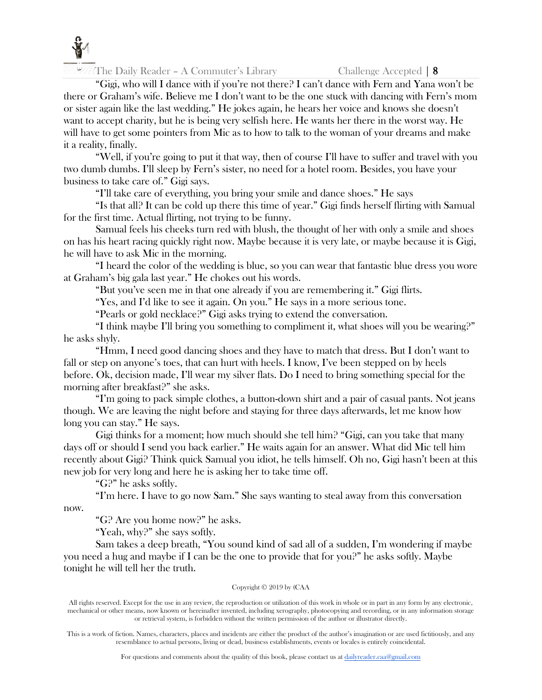

"Gigi, who will I dance with if you're not there? I can't dance with Fern and Yana won't be there or Graham's wife. Believe me I don't want to be the one stuck with dancing with Fern's mom or sister again like the last wedding." He jokes again, he hears her voice and knows she doesn't want to accept charity, but he is being very selfish here. He wants her there in the worst way. He will have to get some pointers from Mic as to how to talk to the woman of your dreams and make it a reality, finally.

"Well, if you're going to put it that way, then of course I'll have to suffer and travel with you two dumb dumbs. I'll sleep by Fern's sister, no need for a hotel room. Besides, you have your business to take care of." Gigi says.

"I'll take care of everything, you bring your smile and dance shoes." He says

"Is that all? It can be cold up there this time of year." Gigi finds herself flirting with Samual for the first time. Actual flirting, not trying to be funny.

Samual feels his cheeks turn red with blush, the thought of her with only a smile and shoes on has his heart racing quickly right now. Maybe because it is very late, or maybe because it is Gigi, he will have to ask Mic in the morning.

"I heard the color of the wedding is blue, so you can wear that fantastic blue dress you wore at Graham's big gala last year." He chokes out his words.

"But you've seen me in that one already if you are remembering it." Gigi flirts.

"Yes, and I'd like to see it again. On you." He says in a more serious tone.

"Pearls or gold necklace?" Gigi asks trying to extend the conversation.

"I think maybe I'll bring you something to compliment it, what shoes will you be wearing?" he asks shyly.

"Hmm, I need good dancing shoes and they have to match that dress. But I don't want to fall or step on anyone's toes, that can hurt with heels. I know, I've been stepped on by heels before. Ok, decision made, I'll wear my silver flats. Do I need to bring something special for the morning after breakfast?" she asks.

"I'm going to pack simple clothes, a button-down shirt and a pair of casual pants. Not jeans though. We are leaving the night before and staying for three days afterwards, let me know how long you can stay." He says.

Gigi thinks for a moment; how much should she tell him? "Gigi, can you take that many days off or should I send you back earlier." He waits again for an answer. What did Mic tell him recently about Gigi? Think quick Samual you idiot, he tells himself. Oh no, Gigi hasn't been at this new job for very long and here he is asking her to take time off.

"G?" he asks softly.

"I'm here. I have to go now Sam." She says wanting to steal away from this conversation now.

"G? Are you home now?" he asks.

"Yeah, why?" she says softly.

Sam takes a deep breath, "You sound kind of sad all of a sudden, I'm wondering if maybe you need a hug and maybe if I can be the one to provide that for you?" he asks softly. Maybe tonight he will tell her the truth.

# Copyright © 2019 by (CAA

All rights reserved. Except for the use in any review, the reproduction or utilization of this work in whole or in part in any form by any electronic, mechanical or other means, now known or hereinafter invented, including xerography, photocopying and recording, or in any information storage or retrieval system, is forbidden without the written permission of the author or illustrator directly.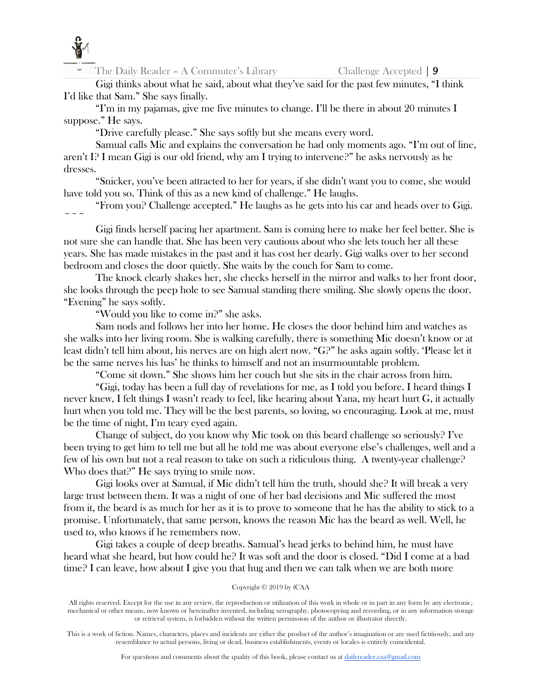

Gigi thinks about what he said, about what they've said for the past few minutes, "I think I'd like that Sam." She says finally.

"I'm in my pajamas, give me five minutes to change. I'll be there in about 20 minutes I suppose." He says.

"Drive carefully please." She says softly but she means every word.

Samual calls Mic and explains the conversation he had only moments ago. "I'm out of line, aren't I? I mean Gigi is our old friend, why am I trying to intervene?" he asks nervously as he dresses.

"Snicker, you've been attracted to her for years, if she didn't want you to come, she would have told you so. Think of this as a new kind of challenge." He laughs.

"From you? Challenge accepted." He laughs as he gets into his car and heads over to Gigi.  $\sim$   $\sim$   $\sim$ 

Gigi finds herself pacing her apartment. Sam is coming here to make her feel better. She is not sure she can handle that. She has been very cautious about who she lets touch her all these years. She has made mistakes in the past and it has cost her dearly. Gigi walks over to her second bedroom and closes the door quietly. She waits by the couch for Sam to come.

The knock clearly shakes her, she checks herself in the mirror and walks to her front door, she looks through the peep hole to see Samual standing there smiling. She slowly opens the door. "Evening" he says softly.

"Would you like to come in?" she asks.

Sam nods and follows her into her home. He closes the door behind him and watches as she walks into her living room. She is walking carefully, there is something Mic doesn't know or at least didn't tell him about, his nerves are on high alert now. "G?" he asks again softly. 'Please let it be the same nerves his has' he thinks to himself and not an insurmountable problem.

"Come sit down." She shows him her couch but she sits in the chair across from him.

"Gigi, today has been a full day of revelations for me, as I told you before. I heard things I never knew, I felt things I wasn't ready to feel, like hearing about Yana, my heart hurt G, it actually hurt when you told me. They will be the best parents, so loving, so encouraging. Look at me, must be the time of night, I'm teary eyed again.

Change of subject, do you know why Mic took on this beard challenge so seriously? I've been trying to get him to tell me but all he told me was about everyone else's challenges, well and a few of his own but not a real reason to take on such a ridiculous thing. A twenty-year challenge? Who does that?" He says trying to smile now.

Gigi looks over at Samual, if Mic didn't tell him the truth, should she? It will break a very large trust between them. It was a night of one of her bad decisions and Mic suffered the most from it, the beard is as much for her as it is to prove to someone that he has the ability to stick to a promise. Unfortunately, that same person, knows the reason Mic has the beard as well. Well, he used to, who knows if he remembers now.

Gigi takes a couple of deep breaths. Samual's head jerks to behind him, he must have heard what she heard, but how could he? It was soft and the door is closed. "Did I come at a bad time? I can leave, how about I give you that hug and then we can talk when we are both more

# Copyright © 2019 by (CAA

All rights reserved. Except for the use in any review, the reproduction or utilization of this work in whole or in part in any form by any electronic, mechanical or other means, now known or hereinafter invented, including xerography, photocopying and recording, or in any information storage or retrieval system, is forbidden without the written permission of the author or illustrator directly.

This is a work of fiction. Names, characters, places and incidents are either the product of the author's imagination or are used fictitiously, and any resemblance to actual persons, living or dead, business establishments, events or locales is entirely coincidental.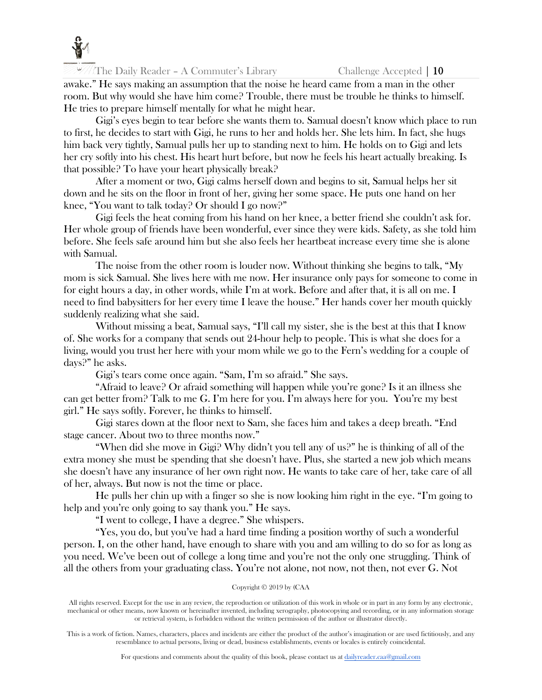

awake." He says making an assumption that the noise he heard came from a man in the other room. But why would she have him come? Trouble, there must be trouble he thinks to himself. He tries to prepare himself mentally for what he might hear.

Gigi's eyes begin to tear before she wants them to. Samual doesn't know which place to run to first, he decides to start with Gigi, he runs to her and holds her. She lets him. In fact, she hugs him back very tightly, Samual pulls her up to standing next to him. He holds on to Gigi and lets her cry softly into his chest. His heart hurt before, but now he feels his heart actually breaking. Is that possible? To have your heart physically break?

After a moment or two, Gigi calms herself down and begins to sit, Samual helps her sit down and he sits on the floor in front of her, giving her some space. He puts one hand on her knee, "You want to talk today? Or should I go now?"

Gigi feels the heat coming from his hand on her knee, a better friend she couldn't ask for. Her whole group of friends have been wonderful, ever since they were kids. Safety, as she told him before. She feels safe around him but she also feels her heartbeat increase every time she is alone with Samual.

The noise from the other room is louder now. Without thinking she begins to talk, "My mom is sick Samual. She lives here with me now. Her insurance only pays for someone to come in for eight hours a day, in other words, while I'm at work. Before and after that, it is all on me. I need to find babysitters for her every time I leave the house." Her hands cover her mouth quickly suddenly realizing what she said.

Without missing a beat, Samual says, "I'll call my sister, she is the best at this that I know of. She works for a company that sends out 24-hour help to people. This is what she does for a living, would you trust her here with your mom while we go to the Fern's wedding for a couple of days?" he asks.

Gigi's tears come once again. "Sam, I'm so afraid." She says.

"Afraid to leave? Or afraid something will happen while you're gone? Is it an illness she can get better from? Talk to me G. I'm here for you. I'm always here for you. You're my best girl." He says softly. Forever, he thinks to himself.

Gigi stares down at the floor next to Sam, she faces him and takes a deep breath. "End stage cancer. About two to three months now."

"When did she move in Gigi? Why didn't you tell any of us?" he is thinking of all of the extra money she must be spending that she doesn't have. Plus, she started a new job which means she doesn't have any insurance of her own right now. He wants to take care of her, take care of all of her, always. But now is not the time or place.

He pulls her chin up with a finger so she is now looking him right in the eye. "I'm going to help and you're only going to say thank you." He says.

"I went to college, I have a degree." She whispers.

"Yes, you do, but you've had a hard time finding a position worthy of such a wonderful person. I, on the other hand, have enough to share with you and am willing to do so for as long as you need. We've been out of college a long time and you're not the only one struggling. Think of all the others from your graduating class. You're not alone, not now, not then, not ever G. Not

#### Copyright © 2019 by (CAA

All rights reserved. Except for the use in any review, the reproduction or utilization of this work in whole or in part in any form by any electronic, mechanical or other means, now known or hereinafter invented, including xerography, photocopying and recording, or in any information storage or retrieval system, is forbidden without the written permission of the author or illustrator directly.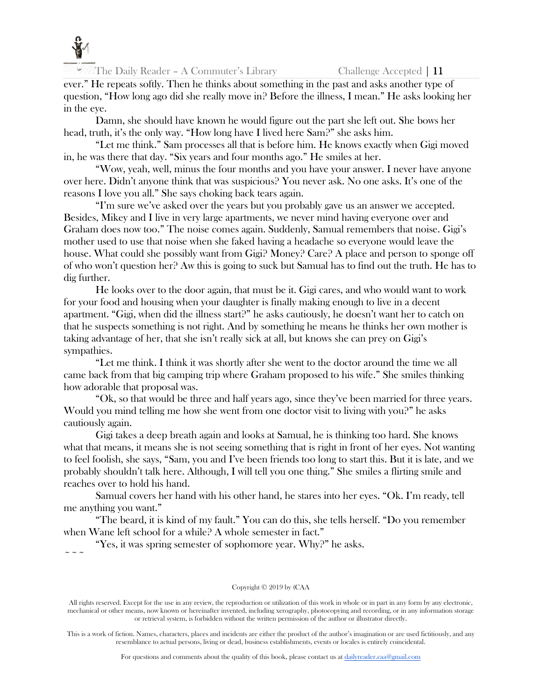

ever." He repeats softly. Then he thinks about something in the past and asks another type of question, "How long ago did she really move in? Before the illness, I mean." He asks looking her in the eye.

Damn, she should have known he would figure out the part she left out. She bows her head, truth, it's the only way. "How long have I lived here Sam?" she asks him.

"Let me think." Sam processes all that is before him. He knows exactly when Gigi moved in, he was there that day. "Six years and four months ago." He smiles at her.

"Wow, yeah, well, minus the four months and you have your answer. I never have anyone over here. Didn't anyone think that was suspicious? You never ask. No one asks. It's one of the reasons I love you all." She says choking back tears again.

"I'm sure we've asked over the years but you probably gave us an answer we accepted. Besides, Mikey and I live in very large apartments, we never mind having everyone over and Graham does now too." The noise comes again. Suddenly, Samual remembers that noise. Gigi's mother used to use that noise when she faked having a headache so everyone would leave the house. What could she possibly want from Gigi? Money? Care? A place and person to sponge off of who won't question her? Aw this is going to suck but Samual has to find out the truth. He has to dig further.

He looks over to the door again, that must be it. Gigi cares, and who would want to work for your food and housing when your daughter is finally making enough to live in a decent apartment. "Gigi, when did the illness start?" he asks cautiously, he doesn't want her to catch on that he suspects something is not right. And by something he means he thinks her own mother is taking advantage of her, that she isn't really sick at all, but knows she can prey on Gigi's sympathies.

"Let me think. I think it was shortly after she went to the doctor around the time we all came back from that big camping trip where Graham proposed to his wife." She smiles thinking how adorable that proposal was.

"Ok, so that would be three and half years ago, since they've been married for three years. Would you mind telling me how she went from one doctor visit to living with you?" he asks cautiously again.

Gigi takes a deep breath again and looks at Samual, he is thinking too hard. She knows what that means, it means she is not seeing something that is right in front of her eyes. Not wanting to feel foolish, she says, "Sam, you and I've been friends too long to start this. But it is late, and we probably shouldn't talk here. Although, I will tell you one thing." She smiles a flirting smile and reaches over to hold his hand.

Samual covers her hand with his other hand, he stares into her eyes. "Ok. I'm ready, tell me anything you want."

"The beard, it is kind of my fault." You can do this, she tells herself. "Do you remember when Wane left school for a while? A whole semester in fact."

"Yes, it was spring semester of sophomore year. Why?" he asks.  $\sim$   $\sim$   $\sim$ 

# Copyright © 2019 by (CAA

All rights reserved. Except for the use in any review, the reproduction or utilization of this work in whole or in part in any form by any electronic, mechanical or other means, now known or hereinafter invented, including xerography, photocopying and recording, or in any information storage or retrieval system, is forbidden without the written permission of the author or illustrator directly.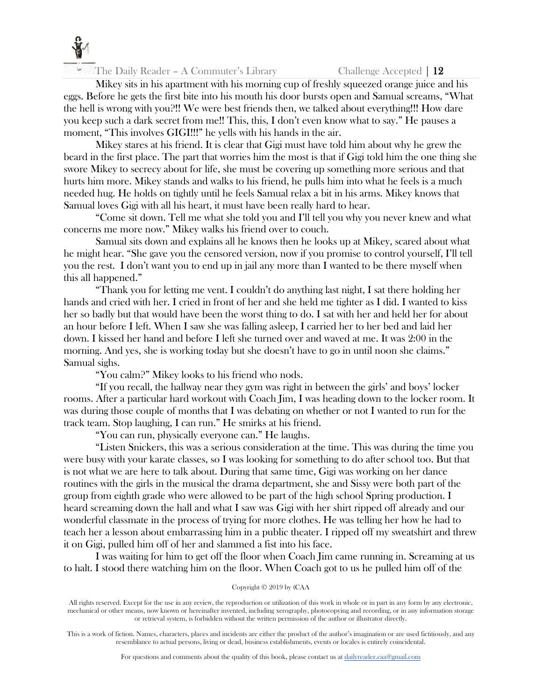

Mikey sits in his apartment with his morning cup of freshly squeezed orange juice and his eggs. Before he gets the first bite into his mouth his door bursts open and Samual screams, "What the hell is wrong with you?!! We were best friends then, we talked about everything!!! How dare you keep such a dark secret from me!! This, this, I don't even know what to say." He pauses a moment, "This involves GIGI!!!" he yells with his hands in the air.

Mikey stares at his friend. It is clear that Gigi must have told him about why he grew the beard in the first place. The part that worries him the most is that if Gigi told him the one thing she swore Mikey to secrecy about for life, she must be covering up something more serious and that hurts him more. Mikey stands and walks to his friend, he pulls him into what he feels is a much needed hug. He holds on tightly until he feels Samual relax a bit in his arms. Mikey knows that Samual loves Gigi with all his heart, it must have been really hard to hear.

"Come sit down. Tell me what she told you and I'll tell you why you never knew and what concerns me more now." Mikey walks his friend over to couch.

Samual sits down and explains all he knows then he looks up at Mikey, scared about what he might hear. "She gave you the censored version, now if you promise to control yourself, I'll tell you the rest. I don't want you to end up in jail any more than I wanted to be there myself when this all happened."

"Thank you for letting me vent. I couldn't do anything last night, I sat there holding her hands and cried with her. I cried in front of her and she held me tighter as I did. I wanted to kiss her so badly but that would have been the worst thing to do. I sat with her and held her for about an hour before I left. When I saw she was falling asleep, I carried her to her bed and laid her down. I kissed her hand and before I left she turned over and waved at me. It was 2:00 in the morning. And yes, she is working today but she doesn't have to go in until noon she claims." Samual sighs.

"You calm?" Mikey looks to his friend who nods.

"If you recall, the hallway near they gym was right in between the girls' and boys' locker rooms. After a particular hard workout with Coach Jim, I was heading down to the locker room. It was during those couple of months that I was debating on whether or not I wanted to run for the track team. Stop laughing, I can run." He smirks at his friend.

"You can run, physically everyone can." He laughs.

"Listen Snickers, this was a serious consideration at the time. This was during the time you were busy with your karate classes, so I was looking for something to do after school too. But that is not what we are here to talk about. During that same time, Gigi was working on her dance routines with the girls in the musical the drama department, she and Sissy were both part of the group from eighth grade who were allowed to be part of the high school Spring production. I heard screaming down the hall and what I saw was Gigi with her shirt ripped off already and our wonderful classmate in the process of trying for more clothes. He was telling her how he had to teach her a lesson about embarrassing him in a public theater. I ripped off my sweatshirt and threw it on Gigi, pulled him off of her and slammed a fist into his face.

I was waiting for him to get off the floor when Coach Jim came running in. Screaming at us to halt. I stood there watching him on the floor. When Coach got to us he pulled him off of the

# Copyright © 2019 by (CAA

All rights reserved. Except for the use in any review, the reproduction or utilization of this work in whole or in part in any form by any electronic, mechanical or other means, now known or hereinafter invented, including xerography, photocopying and recording, or in any information storage or retrieval system, is forbidden without the written permission of the author or illustrator directly.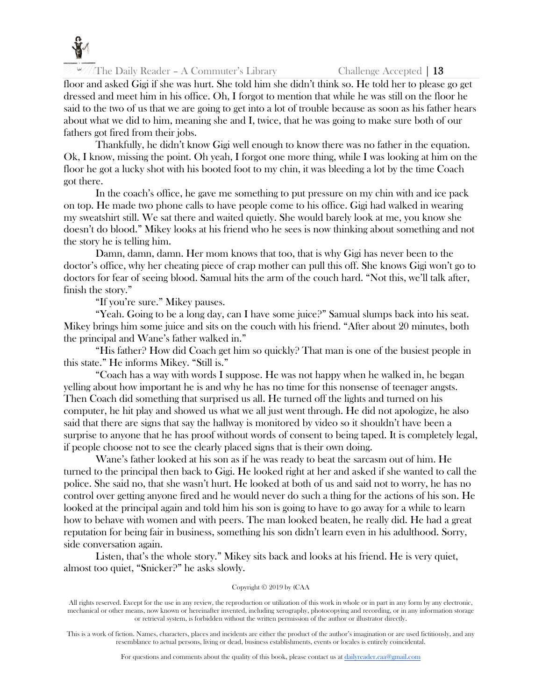

floor and asked Gigi if she was hurt. She told him she didn't think so. He told her to please go get dressed and meet him in his office. Oh, I forgot to mention that while he was still on the floor he said to the two of us that we are going to get into a lot of trouble because as soon as his father hears about what we did to him, meaning she and I, twice, that he was going to make sure both of our fathers got fired from their jobs.

Thankfully, he didn't know Gigi well enough to know there was no father in the equation. Ok, I know, missing the point. Oh yeah, I forgot one more thing, while I was looking at him on the floor he got a lucky shot with his booted foot to my chin, it was bleeding a lot by the time Coach got there.

In the coach's office, he gave me something to put pressure on my chin with and ice pack on top. He made two phone calls to have people come to his office. Gigi had walked in wearing my sweatshirt still. We sat there and waited quietly. She would barely look at me, you know she doesn't do blood." Mikey looks at his friend who he sees is now thinking about something and not the story he is telling him.

Damn, damn, damn. Her mom knows that too, that is why Gigi has never been to the doctor's office, why her cheating piece of crap mother can pull this off. She knows Gigi won't go to doctors for fear of seeing blood. Samual hits the arm of the couch hard. "Not this, we'll talk after, finish the story."

"If you're sure." Mikey pauses.

"Yeah. Going to be a long day, can I have some juice?" Samual slumps back into his seat. Mikey brings him some juice and sits on the couch with his friend. "After about 20 minutes, both the principal and Wane's father walked in."

"His father? How did Coach get him so quickly? That man is one of the busiest people in this state." He informs Mikey. "Still is."

"Coach has a way with words I suppose. He was not happy when he walked in, he began yelling about how important he is and why he has no time for this nonsense of teenager angsts. Then Coach did something that surprised us all. He turned off the lights and turned on his computer, he hit play and showed us what we all just went through. He did not apologize, he also said that there are signs that say the hallway is monitored by video so it shouldn't have been a surprise to anyone that he has proof without words of consent to being taped. It is completely legal, if people choose not to see the clearly placed signs that is their own doing.

Wane's father looked at his son as if he was ready to beat the sarcasm out of him. He turned to the principal then back to Gigi. He looked right at her and asked if she wanted to call the police. She said no, that she wasn't hurt. He looked at both of us and said not to worry, he has no control over getting anyone fired and he would never do such a thing for the actions of his son. He looked at the principal again and told him his son is going to have to go away for a while to learn how to behave with women and with peers. The man looked beaten, he really did. He had a great reputation for being fair in business, something his son didn't learn even in his adulthood. Sorry, side conversation again.

Listen, that's the whole story." Mikey sits back and looks at his friend. He is very quiet, almost too quiet, "Snicker?" he asks slowly.

#### Copyright © 2019 by (CAA

All rights reserved. Except for the use in any review, the reproduction or utilization of this work in whole or in part in any form by any electronic, mechanical or other means, now known or hereinafter invented, including xerography, photocopying and recording, or in any information storage or retrieval system, is forbidden without the written permission of the author or illustrator directly.

This is a work of fiction. Names, characters, places and incidents are either the product of the author's imagination or are used fictitiously, and any resemblance to actual persons, living or dead, business establishments, events or locales is entirely coincidental.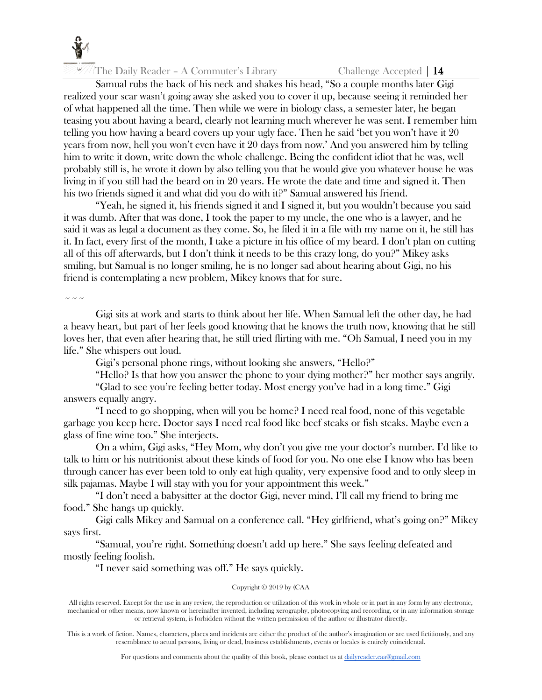

Samual rubs the back of his neck and shakes his head, "So a couple months later Gigi realized your scar wasn't going away she asked you to cover it up, because seeing it reminded her of what happened all the time. Then while we were in biology class, a semester later, he began teasing you about having a beard, clearly not learning much wherever he was sent. I remember him telling you how having a beard covers up your ugly face. Then he said 'bet you won't have it 20 years from now, hell you won't even have it 20 days from now.' And you answered him by telling him to write it down, write down the whole challenge. Being the confident idiot that he was, well probably still is, he wrote it down by also telling you that he would give you whatever house he was living in if you still had the beard on in 20 years. He wrote the date and time and signed it. Then his two friends signed it and what did you do with it?" Samual answered his friend.

"Yeah, he signed it, his friends signed it and I signed it, but you wouldn't because you said it was dumb. After that was done, I took the paper to my uncle, the one who is a lawyer, and he said it was as legal a document as they come. So, he filed it in a file with my name on it, he still has it. In fact, every first of the month, I take a picture in his office of my beard. I don't plan on cutting all of this off afterwards, but I don't think it needs to be this crazy long, do you?" Mikey asks smiling, but Samual is no longer smiling, he is no longer sad about hearing about Gigi, no his friend is contemplating a new problem, Mikey knows that for sure.

 $\sim$   $\sim$   $\sim$ 

Gigi sits at work and starts to think about her life. When Samual left the other day, he had a heavy heart, but part of her feels good knowing that he knows the truth now, knowing that he still loves her, that even after hearing that, he still tried flirting with me. "Oh Samual, I need you in my life." She whispers out loud.

Gigi's personal phone rings, without looking she answers, "Hello?"

"Hello? Is that how you answer the phone to your dying mother?" her mother says angrily.

"Glad to see you're feeling better today. Most energy you've had in a long time." Gigi answers equally angry.

"I need to go shopping, when will you be home? I need real food, none of this vegetable garbage you keep here. Doctor says I need real food like beef steaks or fish steaks. Maybe even a glass of fine wine too." She interjects.

On a whim, Gigi asks, "Hey Mom, why don't you give me your doctor's number. I'd like to talk to him or his nutritionist about these kinds of food for you. No one else I know who has been through cancer has ever been told to only eat high quality, very expensive food and to only sleep in silk pajamas. Maybe I will stay with you for your appointment this week."

"I don't need a babysitter at the doctor Gigi, never mind, I'll call my friend to bring me food." She hangs up quickly.

Gigi calls Mikey and Samual on a conference call. "Hey girlfriend, what's going on?" Mikey says first.

"Samual, you're right. Something doesn't add up here." She says feeling defeated and mostly feeling foolish.

"I never said something was off." He says quickly.

# Copyright © 2019 by (CAA

All rights reserved. Except for the use in any review, the reproduction or utilization of this work in whole or in part in any form by any electronic, mechanical or other means, now known or hereinafter invented, including xerography, photocopying and recording, or in any information storage or retrieval system, is forbidden without the written permission of the author or illustrator directly.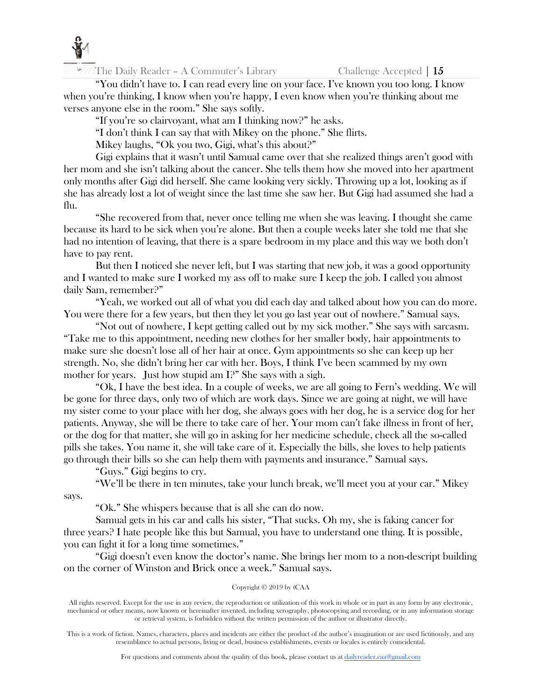

"You didn't have to. I can read every line on your face. I've known you too long. I know when you're thinking, I know when you're happy, I even know when you're thinking about me verses anyone else in the room." She says softly.

"If you're so clairvoyant, what am I thinking now?" he asks.

"I don't think I can say that with Mikey on the phone." She flirts.

Mikey laughs, "Ok you two, Gigi, what's this about?"

Gigi explains that it wasn't until Samual came over that she realized things aren't good with her mom and she isn't talking about the cancer. She tells them how she moved into her apartment only months after Gigi did herself. She came looking very sickly. Throwing up a lot, looking as if she has already lost a lot of weight since the last time she saw her. But Gigi had assumed she had a flu.

"She recovered from that, never once telling me when she was leaving. I thought she came because its hard to be sick when you're alone. But then a couple weeks later she told me that she had no intention of leaving, that there is a spare bedroom in my place and this way we both don't have to pay rent.

But then I noticed she never left, but I was starting that new job, it was a good opportunity and I wanted to make sure I worked my ass off to make sure I keep the job. I called you almost daily Sam, remember?"

"Yeah, we worked out all of what you did each day and talked about how you can do more. You were there for a few years, but then they let you go last year out of nowhere." Samual says.

"Not out of nowhere, I kept getting called out by my sick mother." She says with sarcasm. "Take me to this appointment, needing new clothes for her smaller body, hair appointments to make sure she doesn't lose all of her hair at once. Gym appointments so she can keep up her strength. No, she didn't bring her car with her. Boys, I think I've been scammed by my own mother for years. Just how stupid am I?" She says with a sigh.

"Ok, I have the best idea. In a couple of weeks, we are all going to Fern's wedding. We will be gone for three days, only two of which are work days. Since we are going at night, we will have my sister come to your place with her dog, she always goes with her dog, he is a service dog for her patients. Anyway, she will be there to take care of her. Your mom can't fake illness in front of her, or the dog for that matter, she will go in asking for her medicine schedule, check all the so-called pills she takes. You name it, she will take care of it. Especially the bills, she loves to help patients go through their bills so she can help them with payments and insurance." Samual says.

"Guys." Gigi begins to cry.

"We'll be there in ten minutes, take your lunch break, we'll meet you at your car." Mikey says.

"Ok." She whispers because that is all she can do now.

Samual gets in his car and calls his sister, "That sucks. Oh my, she is faking cancer for three years? I hate people like this but Samual, you have to understand one thing. It is possible, you can fight it for a long time sometimes."

"Gigi doesn't even know the doctor's name. She brings her mom to a non-descript building on the corner of Winston and Brick once a week." Samual says.

# Copyright © 2019 by (CAA

All rights reserved. Except for the use in any review, the reproduction or utilization of this work in whole or in part in any form by any electronic, mechanical or other means, now known or hereinafter invented, including xerography, photocopying and recording, or in any information storage or retrieval system, is forbidden without the written permission of the author or illustrator directly.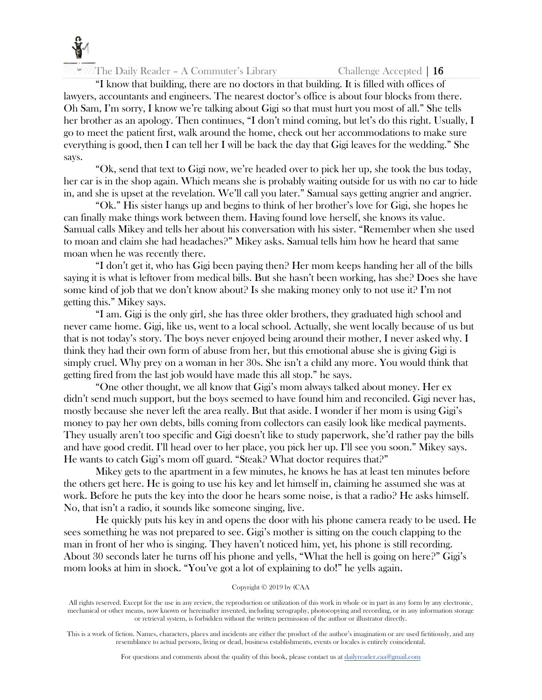

The Daily Reader – A Commuter's Library Challenge Accepted  $\vert 16 \vert$ 

"I know that building, there are no doctors in that building. It is filled with offices of lawyers, accountants and engineers. The nearest doctor's office is about four blocks from there. Oh Sam, I'm sorry, I know we're talking about Gigi so that must hurt you most of all." She tells her brother as an apology. Then continues, "I don't mind coming, but let's do this right. Usually, I go to meet the patient first, walk around the home, check out her accommodations to make sure everything is good, then I can tell her I will be back the day that Gigi leaves for the wedding." She says.

"Ok, send that text to Gigi now, we're headed over to pick her up, she took the bus today, her car is in the shop again. Which means she is probably waiting outside for us with no car to hide in, and she is upset at the revelation. We'll call you later." Samual says getting angrier and angrier.

"Ok." His sister hangs up and begins to think of her brother's love for Gigi, she hopes he can finally make things work between them. Having found love herself, she knows its value. Samual calls Mikey and tells her about his conversation with his sister. "Remember when she used to moan and claim she had headaches?" Mikey asks. Samual tells him how he heard that same moan when he was recently there.

"I don't get it, who has Gigi been paying then? Her mom keeps handing her all of the bills saying it is what is leftover from medical bills. But she hasn't been working, has she? Does she have some kind of job that we don't know about? Is she making money only to not use it? I'm not getting this." Mikey says.

"I am. Gigi is the only girl, she has three older brothers, they graduated high school and never came home. Gigi, like us, went to a local school. Actually, she went locally because of us but that is not today's story. The boys never enjoyed being around their mother, I never asked why. I think they had their own form of abuse from her, but this emotional abuse she is giving Gigi is simply cruel. Why prey on a woman in her 30s. She isn't a child any more. You would think that getting fired from the last job would have made this all stop." he says.

"One other thought, we all know that Gigi's mom always talked about money. Her ex didn't send much support, but the boys seemed to have found him and reconciled. Gigi never has, mostly because she never left the area really. But that aside. I wonder if her mom is using Gigi's money to pay her own debts, bills coming from collectors can easily look like medical payments. They usually aren't too specific and Gigi doesn't like to study paperwork, she'd rather pay the bills and have good credit. I'll head over to her place, you pick her up. I'll see you soon." Mikey says. He wants to catch Gigi's mom off guard. "Steak? What doctor requires that?"

Mikey gets to the apartment in a few minutes, he knows he has at least ten minutes before the others get here. He is going to use his key and let himself in, claiming he assumed she was at work. Before he puts the key into the door he hears some noise, is that a radio? He asks himself. No, that isn't a radio, it sounds like someone singing, live.

He quickly puts his key in and opens the door with his phone camera ready to be used. He sees something he was not prepared to see. Gigi's mother is sitting on the couch clapping to the man in front of her who is singing. They haven't noticed him, yet, his phone is still recording. About 30 seconds later he turns off his phone and yells, "What the hell is going on here?" Gigi's mom looks at him in shock. "You've got a lot of explaining to do!" he yells again.

# Copyright © 2019 by (CAA

All rights reserved. Except for the use in any review, the reproduction or utilization of this work in whole or in part in any form by any electronic, mechanical or other means, now known or hereinafter invented, including xerography, photocopying and recording, or in any information storage or retrieval system, is forbidden without the written permission of the author or illustrator directly.

This is a work of fiction. Names, characters, places and incidents are either the product of the author's imagination or are used fictitiously, and any resemblance to actual persons, living or dead, business establishments, events or locales is entirely coincidental.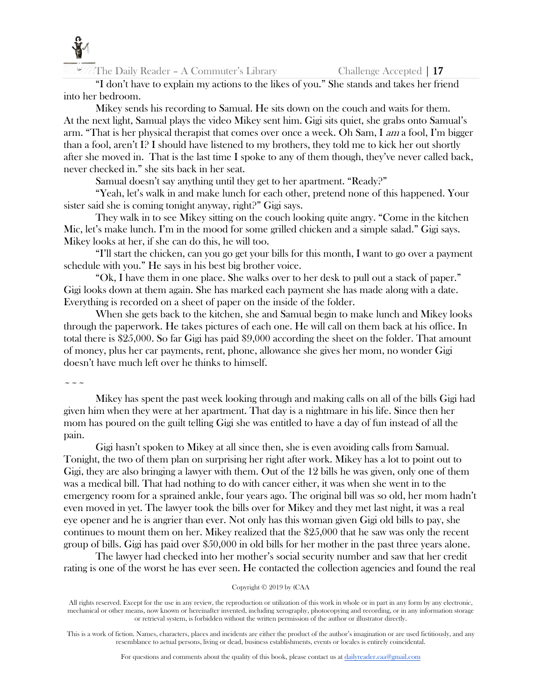

"I don't have to explain my actions to the likes of you." She stands and takes her friend into her bedroom.

Mikey sends his recording to Samual. He sits down on the couch and waits for them. At the next light, Samual plays the video Mikey sent him. Gigi sits quiet, she grabs onto Samual's arm. "That is her physical therapist that comes over once a week. Oh Sam, I am a fool, I'm bigger than a fool, aren't I? I should have listened to my brothers, they told me to kick her out shortly after she moved in. That is the last time I spoke to any of them though, they've never called back, never checked in." she sits back in her seat.

Samual doesn't say anything until they get to her apartment. "Ready?"

"Yeah, let's walk in and make lunch for each other, pretend none of this happened. Your sister said she is coming tonight anyway, right?" Gigi says.

They walk in to see Mikey sitting on the couch looking quite angry. "Come in the kitchen Mic, let's make lunch. I'm in the mood for some grilled chicken and a simple salad." Gigi says. Mikey looks at her, if she can do this, he will too.

"I'll start the chicken, can you go get your bills for this month, I want to go over a payment schedule with you." He says in his best big brother voice.

"Ok, I have them in one place. She walks over to her desk to pull out a stack of paper." Gigi looks down at them again. She has marked each payment she has made along with a date. Everything is recorded on a sheet of paper on the inside of the folder.

When she gets back to the kitchen, she and Samual begin to make lunch and Mikey looks through the paperwork. He takes pictures of each one. He will call on them back at his office. In total there is \$25,000. So far Gigi has paid \$9,000 according the sheet on the folder. That amount of money, plus her car payments, rent, phone, allowance she gives her mom, no wonder Gigi doesn't have much left over he thinks to himself.

 $\sim$   $\sim$   $\sim$ 

Mikey has spent the past week looking through and making calls on all of the bills Gigi had given him when they were at her apartment. That day is a nightmare in his life. Since then her mom has poured on the guilt telling Gigi she was entitled to have a day of fun instead of all the pain.

Gigi hasn't spoken to Mikey at all since then, she is even avoiding calls from Samual. Tonight, the two of them plan on surprising her right after work. Mikey has a lot to point out to Gigi, they are also bringing a lawyer with them. Out of the 12 bills he was given, only one of them was a medical bill. That had nothing to do with cancer either, it was when she went in to the emergency room for a sprained ankle, four years ago. The original bill was so old, her mom hadn't even moved in yet. The lawyer took the bills over for Mikey and they met last night, it was a real eye opener and he is angrier than ever. Not only has this woman given Gigi old bills to pay, she continues to mount them on her. Mikey realized that the \$25,000 that he saw was only the recent group of bills. Gigi has paid over \$50,000 in old bills for her mother in the past three years alone.

The lawyer had checked into her mother's social security number and saw that her credit rating is one of the worst he has ever seen. He contacted the collection agencies and found the real

# Copyright © 2019 by (CAA

All rights reserved. Except for the use in any review, the reproduction or utilization of this work in whole or in part in any form by any electronic, mechanical or other means, now known or hereinafter invented, including xerography, photocopying and recording, or in any information storage or retrieval system, is forbidden without the written permission of the author or illustrator directly.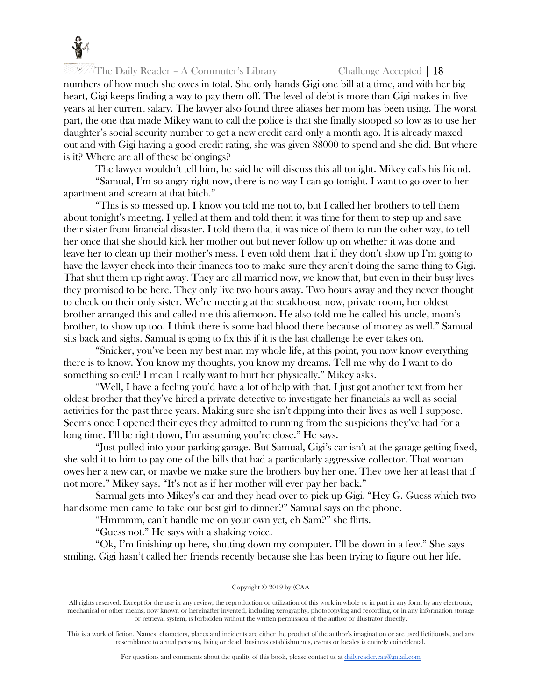

numbers of how much she owes in total. She only hands Gigi one bill at a time, and with her big heart, Gigi keeps finding a way to pay them off. The level of debt is more than Gigi makes in five years at her current salary. The lawyer also found three aliases her mom has been using. The worst part, the one that made Mikey want to call the police is that she finally stooped so low as to use her daughter's social security number to get a new credit card only a month ago. It is already maxed out and with Gigi having a good credit rating, she was given \$8000 to spend and she did. But where is it? Where are all of these belongings?

The lawyer wouldn't tell him, he said he will discuss this all tonight. Mikey calls his friend.

"Samual, I'm so angry right now, there is no way I can go tonight. I want to go over to her apartment and scream at that bitch."

"This is so messed up. I know you told me not to, but I called her brothers to tell them about tonight's meeting. I yelled at them and told them it was time for them to step up and save their sister from financial disaster. I told them that it was nice of them to run the other way, to tell her once that she should kick her mother out but never follow up on whether it was done and leave her to clean up their mother's mess. I even told them that if they don't show up I'm going to have the lawyer check into their finances too to make sure they aren't doing the same thing to Gigi. That shut them up right away. They are all married now, we know that, but even in their busy lives they promised to be here. They only live two hours away. Two hours away and they never thought to check on their only sister. We're meeting at the steakhouse now, private room, her oldest brother arranged this and called me this afternoon. He also told me he called his uncle, mom's brother, to show up too. I think there is some bad blood there because of money as well." Samual sits back and sighs. Samual is going to fix this if it is the last challenge he ever takes on.

"Snicker, you've been my best man my whole life, at this point, you now know everything there is to know. You know my thoughts, you know my dreams. Tell me why do I want to do something so evil? I mean I really want to hurt her physically." Mikey asks.

"Well, I have a feeling you'd have a lot of help with that. I just got another text from her oldest brother that they've hired a private detective to investigate her financials as well as social activities for the past three years. Making sure she isn't dipping into their lives as well I suppose. Seems once I opened their eyes they admitted to running from the suspicions they've had for a long time. I'll be right down, I'm assuming you're close." He says.

"Just pulled into your parking garage. But Samual, Gigi's car isn't at the garage getting fixed, she sold it to him to pay one of the bills that had a particularly aggressive collector. That woman owes her a new car, or maybe we make sure the brothers buy her one. They owe her at least that if not more." Mikey says. "It's not as if her mother will ever pay her back."

Samual gets into Mikey's car and they head over to pick up Gigi. "Hey G. Guess which two handsome men came to take our best girl to dinner?" Samual says on the phone.

"Hmmmm, can't handle me on your own yet, eh Sam?" she flirts.

"Guess not." He says with a shaking voice.

"Ok, I'm finishing up here, shutting down my computer. I'll be down in a few." She says smiling. Gigi hasn't called her friends recently because she has been trying to figure out her life.

#### Copyright © 2019 by (CAA

All rights reserved. Except for the use in any review, the reproduction or utilization of this work in whole or in part in any form by any electronic, mechanical or other means, now known or hereinafter invented, including xerography, photocopying and recording, or in any information storage or retrieval system, is forbidden without the written permission of the author or illustrator directly.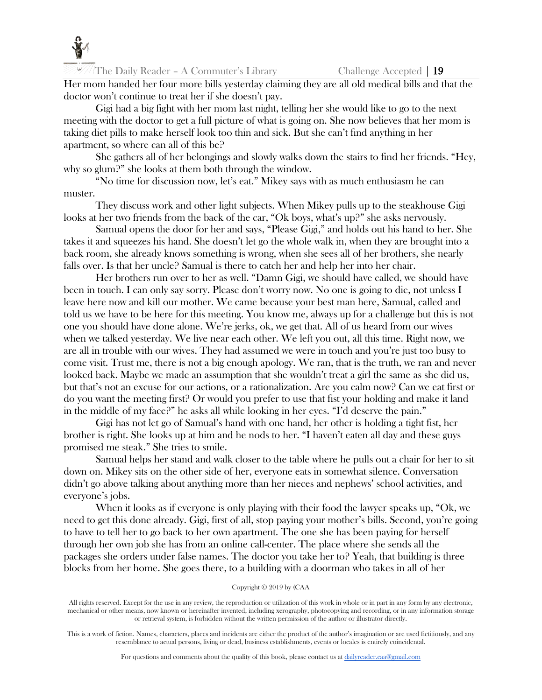

Her mom handed her four more bills yesterday claiming they are all old medical bills and that the doctor won't continue to treat her if she doesn't pay.

Gigi had a big fight with her mom last night, telling her she would like to go to the next meeting with the doctor to get a full picture of what is going on. She now believes that her mom is taking diet pills to make herself look too thin and sick. But she can't find anything in her apartment, so where can all of this be?

She gathers all of her belongings and slowly walks down the stairs to find her friends. "Hey, why so glum?" she looks at them both through the window.

"No time for discussion now, let's eat." Mikey says with as much enthusiasm he can muster.

They discuss work and other light subjects. When Mikey pulls up to the steakhouse Gigi looks at her two friends from the back of the car, "Ok boys, what's up?" she asks nervously.

Samual opens the door for her and says, "Please Gigi," and holds out his hand to her. She takes it and squeezes his hand. She doesn't let go the whole walk in, when they are brought into a back room, she already knows something is wrong, when she sees all of her brothers, she nearly falls over. Is that her uncle? Samual is there to catch her and help her into her chair.

Her brothers run over to her as well. "Damn Gigi, we should have called, we should have been in touch. I can only say sorry. Please don't worry now. No one is going to die, not unless I leave here now and kill our mother. We came because your best man here, Samual, called and told us we have to be here for this meeting. You know me, always up for a challenge but this is not one you should have done alone. We're jerks, ok, we get that. All of us heard from our wives when we talked yesterday. We live near each other. We left you out, all this time. Right now, we are all in trouble with our wives. They had assumed we were in touch and you're just too busy to come visit. Trust me, there is not a big enough apology. We ran, that is the truth, we ran and never looked back. Maybe we made an assumption that she wouldn't treat a girl the same as she did us, but that's not an excuse for our actions, or a rationalization. Are you calm now? Can we eat first or do you want the meeting first? Or would you prefer to use that fist your holding and make it land in the middle of my face?" he asks all while looking in her eyes. "I'd deserve the pain."

Gigi has not let go of Samual's hand with one hand, her other is holding a tight fist, her brother is right. She looks up at him and he nods to her. "I haven't eaten all day and these guys promised me steak." She tries to smile.

Samual helps her stand and walk closer to the table where he pulls out a chair for her to sit down on. Mikey sits on the other side of her, everyone eats in somewhat silence. Conversation didn't go above talking about anything more than her nieces and nephews' school activities, and everyone's jobs.

When it looks as if everyone is only playing with their food the lawyer speaks up, "Ok, we need to get this done already. Gigi, first of all, stop paying your mother's bills. Second, you're going to have to tell her to go back to her own apartment. The one she has been paying for herself through her own job she has from an online call-center. The place where she sends all the packages she orders under false names. The doctor you take her to? Yeah, that building is three blocks from her home. She goes there, to a building with a doorman who takes in all of her

#### Copyright © 2019 by (CAA

All rights reserved. Except for the use in any review, the reproduction or utilization of this work in whole or in part in any form by any electronic, mechanical or other means, now known or hereinafter invented, including xerography, photocopying and recording, or in any information storage or retrieval system, is forbidden without the written permission of the author or illustrator directly.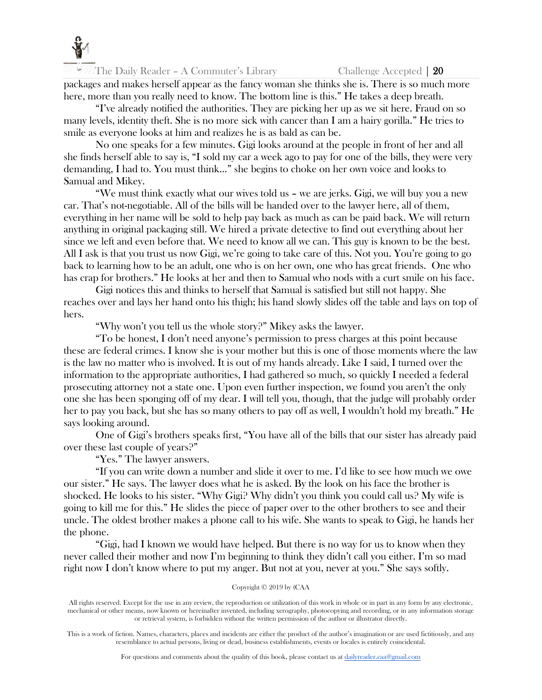

packages and makes herself appear as the fancy woman she thinks she is. There is so much more here, more than you really need to know. The bottom line is this." He takes a deep breath.

"I've already notified the authorities. They are picking her up as we sit here. Fraud on so many levels, identity theft. She is no more sick with cancer than I am a hairy gorilla." He tries to smile as everyone looks at him and realizes he is as bald as can be.

No one speaks for a few minutes. Gigi looks around at the people in front of her and all she finds herself able to say is, "I sold my car a week ago to pay for one of the bills, they were very demanding, I had to. You must think…" she begins to choke on her own voice and looks to Samual and Mikey.

"We must think exactly what our wives told us – we are jerks. Gigi, we will buy you a new car. That's not-negotiable. All of the bills will be handed over to the lawyer here, all of them, everything in her name will be sold to help pay back as much as can be paid back. We will return anything in original packaging still. We hired a private detective to find out everything about her since we left and even before that. We need to know all we can. This guy is known to be the best. All I ask is that you trust us now Gigi, we're going to take care of this. Not you. You're going to go back to learning how to be an adult, one who is on her own, one who has great friends. One who has crap for brothers." He looks at her and then to Samual who nods with a curt smile on his face.

Gigi notices this and thinks to herself that Samual is satisfied but still not happy. She reaches over and lays her hand onto his thigh; his hand slowly slides off the table and lays on top of hers.

"Why won't you tell us the whole story?" Mikey asks the lawyer.

"To be honest, I don't need anyone's permission to press charges at this point because these are federal crimes. I know she is your mother but this is one of those moments where the law is the law no matter who is involved. It is out of my hands already. Like I said, I turned over the information to the appropriate authorities, I had gathered so much, so quickly I needed a federal prosecuting attorney not a state one. Upon even further inspection, we found you aren't the only one she has been sponging off of my dear. I will tell you, though, that the judge will probably order her to pay you back, but she has so many others to pay off as well, I wouldn't hold my breath." He says looking around.

One of Gigi's brothers speaks first, "You have all of the bills that our sister has already paid over these last couple of years?"

"Yes." The lawyer answers.

"If you can write down a number and slide it over to me. I'd like to see how much we owe our sister." He says. The lawyer does what he is asked. By the look on his face the brother is shocked. He looks to his sister. "Why Gigi? Why didn't you think you could call us? My wife is going to kill me for this." He slides the piece of paper over to the other brothers to see and their uncle. The oldest brother makes a phone call to his wife. She wants to speak to Gigi, he hands her the phone.

"Gigi, had I known we would have helped. But there is no way for us to know when they never called their mother and now I'm beginning to think they didn't call you either. I'm so mad right now I don't know where to put my anger. But not at you, never at you." She says softly.

# Copyright © 2019 by (CAA

All rights reserved. Except for the use in any review, the reproduction or utilization of this work in whole or in part in any form by any electronic, mechanical or other means, now known or hereinafter invented, including xerography, photocopying and recording, or in any information storage or retrieval system, is forbidden without the written permission of the author or illustrator directly.

This is a work of fiction. Names, characters, places and incidents are either the product of the author's imagination or are used fictitiously, and any resemblance to actual persons, living or dead, business establishments, events or locales is entirely coincidental.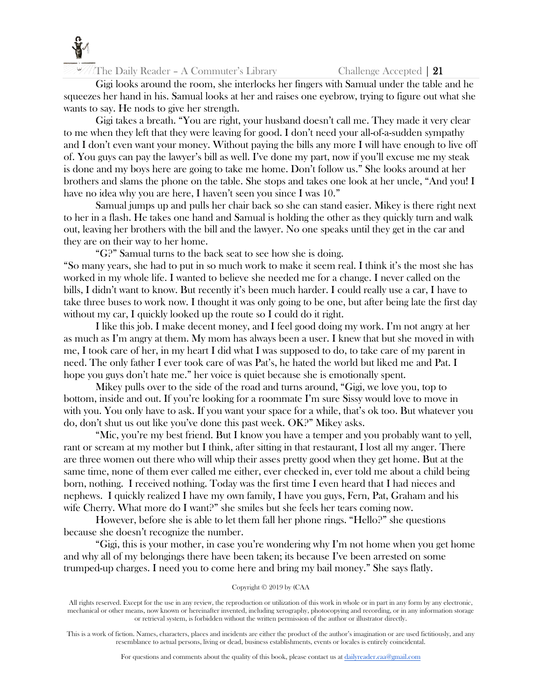

Gigi looks around the room, she interlocks her fingers with Samual under the table and he squeezes her hand in his. Samual looks at her and raises one eyebrow, trying to figure out what she wants to say. He nods to give her strength.

Gigi takes a breath. "You are right, your husband doesn't call me. They made it very clear to me when they left that they were leaving for good. I don't need your all-of-a-sudden sympathy and I don't even want your money. Without paying the bills any more I will have enough to live off of. You guys can pay the lawyer's bill as well. I've done my part, now if you'll excuse me my steak is done and my boys here are going to take me home. Don't follow us." She looks around at her brothers and slams the phone on the table. She stops and takes one look at her uncle, "And you! I have no idea why you are here, I haven't seen you since I was 10."

Samual jumps up and pulls her chair back so she can stand easier. Mikey is there right next to her in a flash. He takes one hand and Samual is holding the other as they quickly turn and walk out, leaving her brothers with the bill and the lawyer. No one speaks until they get in the car and they are on their way to her home.

"G?" Samual turns to the back seat to see how she is doing.

"So many years, she had to put in so much work to make it seem real. I think it's the most she has worked in my whole life. I wanted to believe she needed me for a change. I never called on the bills, I didn't want to know. But recently it's been much harder. I could really use a car, I have to take three buses to work now. I thought it was only going to be one, but after being late the first day without my car, I quickly looked up the route so I could do it right.

I like this job. I make decent money, and I feel good doing my work. I'm not angry at her as much as I'm angry at them. My mom has always been a user. I knew that but she moved in with me, I took care of her, in my heart I did what I was supposed to do, to take care of my parent in need. The only father I ever took care of was Pat's, he hated the world but liked me and Pat. I hope you guys don't hate me." her voice is quiet because she is emotionally spent.

Mikey pulls over to the side of the road and turns around, "Gigi, we love you, top to bottom, inside and out. If you're looking for a roommate I'm sure Sissy would love to move in with you. You only have to ask. If you want your space for a while, that's ok too. But whatever you do, don't shut us out like you've done this past week. OK?" Mikey asks.

"Mic, you're my best friend. But I know you have a temper and you probably want to yell, rant or scream at my mother but I think, after sitting in that restaurant, I lost all my anger. There are three women out there who will whip their asses pretty good when they get home. But at the same time, none of them ever called me either, ever checked in, ever told me about a child being born, nothing. I received nothing. Today was the first time I even heard that I had nieces and nephews. I quickly realized I have my own family, I have you guys, Fern, Pat, Graham and his wife Cherry. What more do I want?" she smiles but she feels her tears coming now.

However, before she is able to let them fall her phone rings. "Hello?" she questions because she doesn't recognize the number.

"Gigi, this is your mother, in case you're wondering why I'm not home when you get home and why all of my belongings there have been taken; its because I've been arrested on some trumped-up charges. I need you to come here and bring my bail money." She says flatly.

# Copyright © 2019 by (CAA

All rights reserved. Except for the use in any review, the reproduction or utilization of this work in whole or in part in any form by any electronic, mechanical or other means, now known or hereinafter invented, including xerography, photocopying and recording, or in any information storage or retrieval system, is forbidden without the written permission of the author or illustrator directly.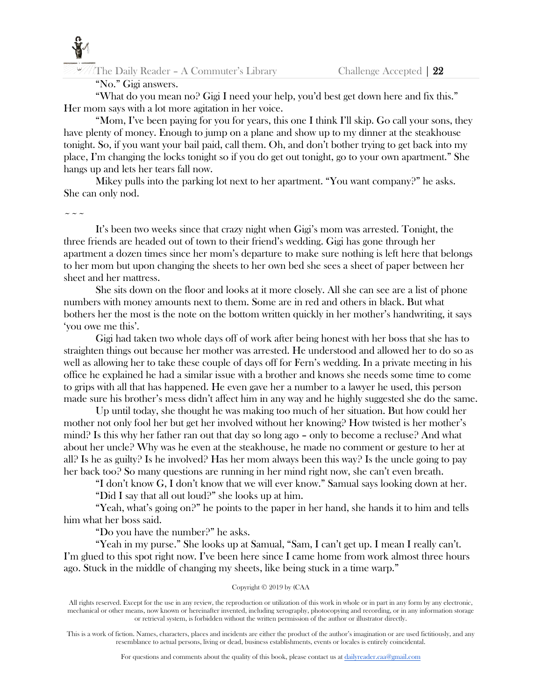

# "No." Gigi answers.

"What do you mean no? Gigi I need your help, you'd best get down here and fix this." Her mom says with a lot more agitation in her voice.

"Mom, I've been paying for you for years, this one I think I'll skip. Go call your sons, they have plenty of money. Enough to jump on a plane and show up to my dinner at the steakhouse tonight. So, if you want your bail paid, call them. Oh, and don't bother trying to get back into my place, I'm changing the locks tonight so if you do get out tonight, go to your own apartment." She hangs up and lets her tears fall now.

Mikey pulls into the parking lot next to her apartment. "You want company?" he asks. She can only nod.

# $\sim$   $\sim$   $\sim$

It's been two weeks since that crazy night when Gigi's mom was arrested. Tonight, the three friends are headed out of town to their friend's wedding. Gigi has gone through her apartment a dozen times since her mom's departure to make sure nothing is left here that belongs to her mom but upon changing the sheets to her own bed she sees a sheet of paper between her sheet and her mattress.

She sits down on the floor and looks at it more closely. All she can see are a list of phone numbers with money amounts next to them. Some are in red and others in black. But what bothers her the most is the note on the bottom written quickly in her mother's handwriting, it says 'you owe me this'.

Gigi had taken two whole days off of work after being honest with her boss that she has to straighten things out because her mother was arrested. He understood and allowed her to do so as well as allowing her to take these couple of days off for Fern's wedding. In a private meeting in his office he explained he had a similar issue with a brother and knows she needs some time to come to grips with all that has happened. He even gave her a number to a lawyer he used, this person made sure his brother's mess didn't affect him in any way and he highly suggested she do the same.

Up until today, she thought he was making too much of her situation. But how could her mother not only fool her but get her involved without her knowing? How twisted is her mother's mind? Is this why her father ran out that day so long ago – only to become a recluse? And what about her uncle? Why was he even at the steakhouse, he made no comment or gesture to her at all? Is he as guilty? Is he involved? Has her mom always been this way? Is the uncle going to pay her back too? So many questions are running in her mind right now, she can't even breath.

"I don't know G, I don't know that we will ever know." Samual says looking down at her. "Did I say that all out loud?" she looks up at him.

"Yeah, what's going on?" he points to the paper in her hand, she hands it to him and tells him what her boss said.

"Do you have the number?" he asks.

"Yeah in my purse." She looks up at Samual, "Sam, I can't get up. I mean I really can't. I'm glued to this spot right now. I've been here since I came home from work almost three hours ago. Stuck in the middle of changing my sheets, like being stuck in a time warp."

# Copyright © 2019 by (CAA

All rights reserved. Except for the use in any review, the reproduction or utilization of this work in whole or in part in any form by any electronic, mechanical or other means, now known or hereinafter invented, including xerography, photocopying and recording, or in any information storage or retrieval system, is forbidden without the written permission of the author or illustrator directly.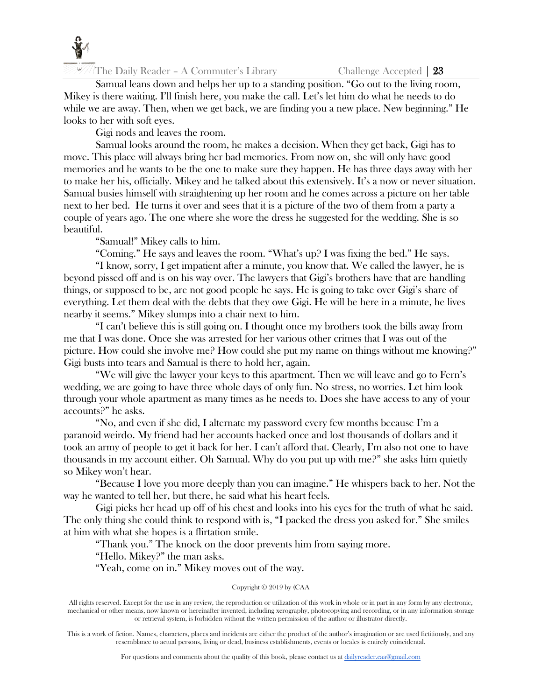

Samual leans down and helps her up to a standing position. "Go out to the living room, Mikey is there waiting. I'll finish here, you make the call. Let's let him do what he needs to do while we are away. Then, when we get back, we are finding you a new place. New beginning." He looks to her with soft eyes.

Gigi nods and leaves the room.

Samual looks around the room, he makes a decision. When they get back, Gigi has to move. This place will always bring her bad memories. From now on, she will only have good memories and he wants to be the one to make sure they happen. He has three days away with her to make her his, officially. Mikey and he talked about this extensively. It's a now or never situation. Samual busies himself with straightening up her room and he comes across a picture on her table next to her bed. He turns it over and sees that it is a picture of the two of them from a party a couple of years ago. The one where she wore the dress he suggested for the wedding. She is so beautiful.

"Samual!" Mikey calls to him.

"Coming." He says and leaves the room. "What's up? I was fixing the bed." He says.

"I know, sorry, I get impatient after a minute, you know that. We called the lawyer, he is beyond pissed off and is on his way over. The lawyers that Gigi's brothers have that are handling things, or supposed to be, are not good people he says. He is going to take over Gigi's share of everything. Let them deal with the debts that they owe Gigi. He will be here in a minute, he lives nearby it seems." Mikey slumps into a chair next to him.

"I can't believe this is still going on. I thought once my brothers took the bills away from me that I was done. Once she was arrested for her various other crimes that I was out of the picture. How could she involve me? How could she put my name on things without me knowing?" Gigi busts into tears and Samual is there to hold her, again.

"We will give the lawyer your keys to this apartment. Then we will leave and go to Fern's wedding, we are going to have three whole days of only fun. No stress, no worries. Let him look through your whole apartment as many times as he needs to. Does she have access to any of your accounts?" he asks.

"No, and even if she did, I alternate my password every few months because I'm a paranoid weirdo. My friend had her accounts hacked once and lost thousands of dollars and it took an army of people to get it back for her. I can't afford that. Clearly, I'm also not one to have thousands in my account either. Oh Samual. Why do you put up with me?" she asks him quietly so Mikey won't hear.

"Because I love you more deeply than you can imagine." He whispers back to her. Not the way he wanted to tell her, but there, he said what his heart feels.

Gigi picks her head up off of his chest and looks into his eyes for the truth of what he said. The only thing she could think to respond with is, "I packed the dress you asked for." She smiles at him with what she hopes is a flirtation smile.

"Thank you." The knock on the door prevents him from saying more.

"Hello. Mikey?" the man asks.

"Yeah, come on in." Mikey moves out of the way.

# Copyright © 2019 by (CAA

All rights reserved. Except for the use in any review, the reproduction or utilization of this work in whole or in part in any form by any electronic, mechanical or other means, now known or hereinafter invented, including xerography, photocopying and recording, or in any information storage or retrieval system, is forbidden without the written permission of the author or illustrator directly.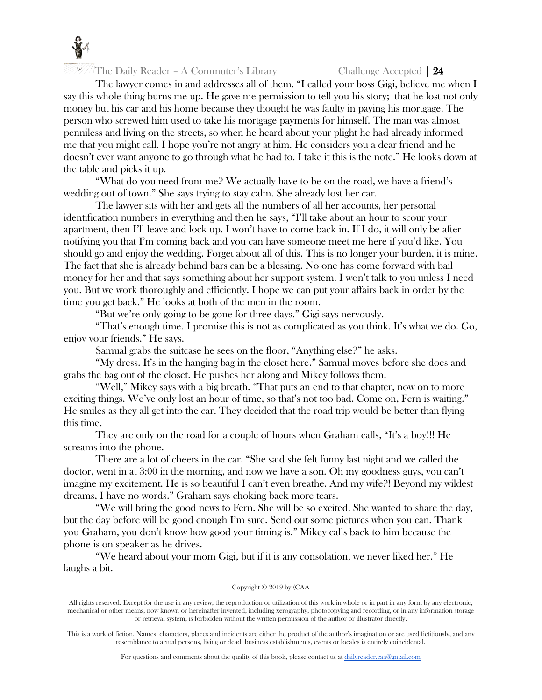

The lawyer comes in and addresses all of them. "I called your boss Gigi, believe me when I say this whole thing burns me up. He gave me permission to tell you his story; that he lost not only money but his car and his home because they thought he was faulty in paying his mortgage. The person who screwed him used to take his mortgage payments for himself. The man was almost penniless and living on the streets, so when he heard about your plight he had already informed me that you might call. I hope you're not angry at him. He considers you a dear friend and he doesn't ever want anyone to go through what he had to. I take it this is the note." He looks down at the table and picks it up.

"What do you need from me? We actually have to be on the road, we have a friend's wedding out of town." She says trying to stay calm. She already lost her car.

The lawyer sits with her and gets all the numbers of all her accounts, her personal identification numbers in everything and then he says, "I'll take about an hour to scour your apartment, then I'll leave and lock up. I won't have to come back in. If I do, it will only be after notifying you that I'm coming back and you can have someone meet me here if you'd like. You should go and enjoy the wedding. Forget about all of this. This is no longer your burden, it is mine. The fact that she is already behind bars can be a blessing. No one has come forward with bail money for her and that says something about her support system. I won't talk to you unless I need you. But we work thoroughly and efficiently. I hope we can put your affairs back in order by the time you get back." He looks at both of the men in the room.

"But we're only going to be gone for three days." Gigi says nervously.

"That's enough time. I promise this is not as complicated as you think. It's what we do. Go, enjoy your friends." He says.

Samual grabs the suitcase he sees on the floor, "Anything else?" he asks.

"My dress. It's in the hanging bag in the closet here." Samual moves before she does and grabs the bag out of the closet. He pushes her along and Mikey follows them.

"Well," Mikey says with a big breath. "That puts an end to that chapter, now on to more exciting things. We've only lost an hour of time, so that's not too bad. Come on, Fern is waiting." He smiles as they all get into the car. They decided that the road trip would be better than flying this time.

They are only on the road for a couple of hours when Graham calls, "It's a boy!!! He screams into the phone.

There are a lot of cheers in the car. "She said she felt funny last night and we called the doctor, went in at 3:00 in the morning, and now we have a son. Oh my goodness guys, you can't imagine my excitement. He is so beautiful I can't even breathe. And my wife?! Beyond my wildest dreams, I have no words." Graham says choking back more tears.

"We will bring the good news to Fern. She will be so excited. She wanted to share the day, but the day before will be good enough I'm sure. Send out some pictures when you can. Thank you Graham, you don't know how good your timing is." Mikey calls back to him because the phone is on speaker as he drives.

"We heard about your mom Gigi, but if it is any consolation, we never liked her." He laughs a bit.

# Copyright © 2019 by (CAA

All rights reserved. Except for the use in any review, the reproduction or utilization of this work in whole or in part in any form by any electronic, mechanical or other means, now known or hereinafter invented, including xerography, photocopying and recording, or in any information storage or retrieval system, is forbidden without the written permission of the author or illustrator directly.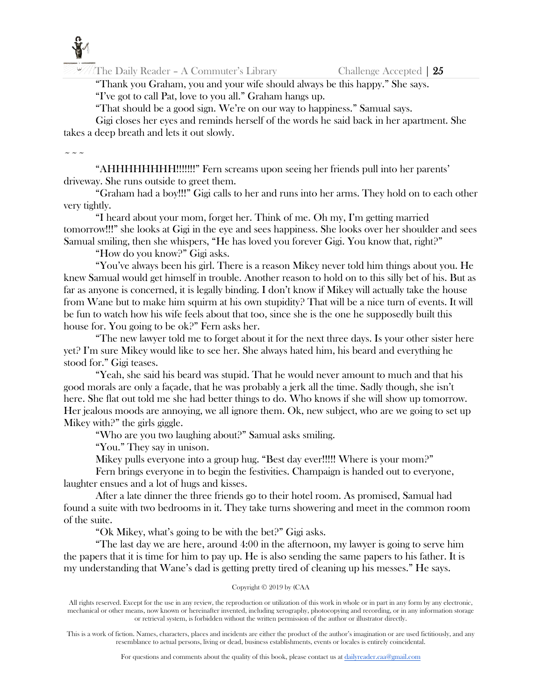

"Thank you Graham, you and your wife should always be this happy." She says. "I've got to call Pat, love to you all." Graham hangs up.

"That should be a good sign. We're on our way to happiness." Samual says.

Gigi closes her eyes and reminds herself of the words he said back in her apartment. She takes a deep breath and lets it out slowly.

 $\sim$   $\sim$   $\sim$ 

"AHHHHHHHH!!!!!!!" Fern screams upon seeing her friends pull into her parents' driveway. She runs outside to greet them.

"Graham had a boy!!!" Gigi calls to her and runs into her arms. They hold on to each other very tightly.

"I heard about your mom, forget her. Think of me. Oh my, I'm getting married tomorrow!!!" she looks at Gigi in the eye and sees happiness. She looks over her shoulder and sees Samual smiling, then she whispers, "He has loved you forever Gigi. You know that, right?"

"How do you know?" Gigi asks.

"You've always been his girl. There is a reason Mikey never told him things about you. He knew Samual would get himself in trouble. Another reason to hold on to this silly bet of his. But as far as anyone is concerned, it is legally binding. I don't know if Mikey will actually take the house from Wane but to make him squirm at his own stupidity? That will be a nice turn of events. It will be fun to watch how his wife feels about that too, since she is the one he supposedly built this house for. You going to be ok?" Fern asks her.

"The new lawyer told me to forget about it for the next three days. Is your other sister here yet? I'm sure Mikey would like to see her. She always hated him, his beard and everything he stood for." Gigi teases.

"Yeah, she said his beard was stupid. That he would never amount to much and that his good morals are only a façade, that he was probably a jerk all the time. Sadly though, she isn't here. She flat out told me she had better things to do. Who knows if she will show up tomorrow. Her jealous moods are annoying, we all ignore them. Ok, new subject, who are we going to set up Mikey with?" the girls giggle.

"Who are you two laughing about?" Samual asks smiling.

"You." They say in unison.

Mikey pulls everyone into a group hug. "Best day ever!!!!! Where is your mom?"

Fern brings everyone in to begin the festivities. Champaign is handed out to everyone, laughter ensues and a lot of hugs and kisses.

After a late dinner the three friends go to their hotel room. As promised, Samual had found a suite with two bedrooms in it. They take turns showering and meet in the common room of the suite.

"Ok Mikey, what's going to be with the bet?" Gigi asks.

"The last day we are here, around 4:00 in the afternoon, my lawyer is going to serve him the papers that it is time for him to pay up. He is also sending the same papers to his father. It is my understanding that Wane's dad is getting pretty tired of cleaning up his messes." He says.

Copyright © 2019 by (CAA

All rights reserved. Except for the use in any review, the reproduction or utilization of this work in whole or in part in any form by any electronic, mechanical or other means, now known or hereinafter invented, including xerography, photocopying and recording, or in any information storage or retrieval system, is forbidden without the written permission of the author or illustrator directly.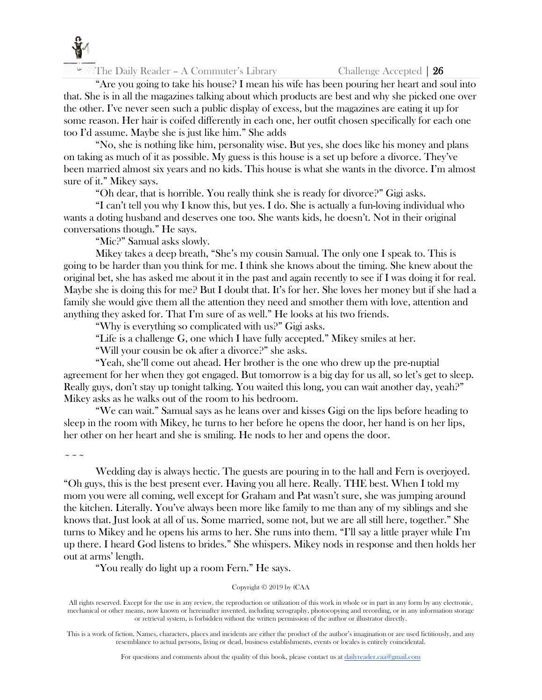

 $\mathbb{Z}/\mathbb{Z}$  The Daily Reader – A Commuter's Library Challenge Accepted | 26

"Are you going to take his house? I mean his wife has been pouring her heart and soul into that. She is in all the magazines talking about which products are best and why she picked one over the other. I've never seen such a public display of excess, but the magazines are eating it up for some reason. Her hair is coifed differently in each one, her outfit chosen specifically for each one too I'd assume. Maybe she is just like him." She adds

"No, she is nothing like him, personality wise. But yes, she does like his money and plans on taking as much of it as possible. My guess is this house is a set up before a divorce. They've been married almost six years and no kids. This house is what she wants in the divorce. I'm almost sure of it." Mikey says.

"Oh dear, that is horrible. You really think she is ready for divorce?" Gigi asks.

"I can't tell you why I know this, but yes. I do. She is actually a fun-loving individual who wants a doting husband and deserves one too. She wants kids, he doesn't. Not in their original conversations though." He says.

"Mic?" Samual asks slowly.

Mikey takes a deep breath, "She's my cousin Samual. The only one I speak to. This is going to be harder than you think for me. I think she knows about the timing. She knew about the original bet, she has asked me about it in the past and again recently to see if I was doing it for real. Maybe she is doing this for me? But I doubt that. It's for her. She loves her money but if she had a family she would give them all the attention they need and smother them with love, attention and anything they asked for. That I'm sure of as well." He looks at his two friends.

"Why is everything so complicated with us?" Gigi asks.

"Life is a challenge G, one which I have fully accepted." Mikey smiles at her.

"Will your cousin be ok after a divorce?" she asks.

"Yeah, she'll come out ahead. Her brother is the one who drew up the pre-nuptial agreement for her when they got engaged. But tomorrow is a big day for us all, so let's get to sleep. Really guys, don't stay up tonight talking. You waited this long, you can wait another day, yeah?" Mikey asks as he walks out of the room to his bedroom.

"We can wait." Samual says as he leans over and kisses Gigi on the lips before heading to sleep in the room with Mikey, he turns to her before he opens the door, her hand is on her lips, her other on her heart and she is smiling. He nods to her and opens the door.

 $\sim$   $\sim$   $\sim$ 

Wedding day is always hectic. The guests are pouring in to the hall and Fern is overjoyed. "Oh guys, this is the best present ever. Having you all here. Really. THE best. When I told my mom you were all coming, well except for Graham and Pat wasn't sure, she was jumping around the kitchen. Literally. You've always been more like family to me than any of my siblings and she knows that. Just look at all of us. Some married, some not, but we are all still here, together." She turns to Mikey and he opens his arms to her. She runs into them. "I'll say a little prayer while I'm up there. I heard God listens to brides." She whispers. Mikey nods in response and then holds her out at arms' length.

"You really do light up a room Fern." He says.

# Copyright © 2019 by (CAA

All rights reserved. Except for the use in any review, the reproduction or utilization of this work in whole or in part in any form by any electronic, mechanical or other means, now known or hereinafter invented, including xerography, photocopying and recording, or in any information storage or retrieval system, is forbidden without the written permission of the author or illustrator directly.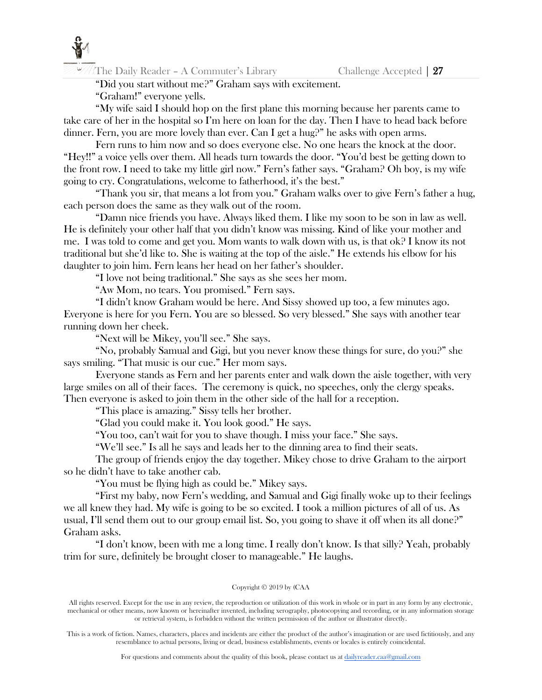

"Did you start without me?" Graham says with excitement.

"Graham!" everyone yells.

"My wife said I should hop on the first plane this morning because her parents came to take care of her in the hospital so I'm here on loan for the day. Then I have to head back before dinner. Fern, you are more lovely than ever. Can I get a hug?" he asks with open arms.

Fern runs to him now and so does everyone else. No one hears the knock at the door. "Hey!!" a voice yells over them. All heads turn towards the door. "You'd best be getting down to the front row. I need to take my little girl now." Fern's father says. "Graham? Oh boy, is my wife going to cry. Congratulations, welcome to fatherhood, it's the best."

"Thank you sir, that means a lot from you." Graham walks over to give Fern's father a hug, each person does the same as they walk out of the room.

"Damn nice friends you have. Always liked them. I like my soon to be son in law as well. He is definitely your other half that you didn't know was missing. Kind of like your mother and me. I was told to come and get you. Mom wants to walk down with us, is that ok? I know its not traditional but she'd like to. She is waiting at the top of the aisle." He extends his elbow for his daughter to join him. Fern leans her head on her father's shoulder.

"I love not being traditional." She says as she sees her mom.

"Aw Mom, no tears. You promised." Fern says.

"I didn't know Graham would be here. And Sissy showed up too, a few minutes ago. Everyone is here for you Fern. You are so blessed. So very blessed." She says with another tear running down her cheek.

"Next will be Mikey, you'll see." She says.

"No, probably Samual and Gigi, but you never know these things for sure, do you?" she says smiling. "That music is our cue." Her mom says.

Everyone stands as Fern and her parents enter and walk down the aisle together, with very large smiles on all of their faces. The ceremony is quick, no speeches, only the clergy speaks. Then everyone is asked to join them in the other side of the hall for a reception.

"This place is amazing." Sissy tells her brother.

"Glad you could make it. You look good." He says.

"You too, can't wait for you to shave though. I miss your face." She says.

"We'll see." Is all he says and leads her to the dinning area to find their seats.

The group of friends enjoy the day together. Mikey chose to drive Graham to the airport so he didn't have to take another cab.

"You must be flying high as could be." Mikey says.

"First my baby, now Fern's wedding, and Samual and Gigi finally woke up to their feelings we all knew they had. My wife is going to be so excited. I took a million pictures of all of us. As usual, I'll send them out to our group email list. So, you going to shave it off when its all done?" Graham asks.

"I don't know, been with me a long time. I really don't know. Is that silly? Yeah, probably trim for sure, definitely be brought closer to manageable." He laughs.

# Copyright © 2019 by (CAA

All rights reserved. Except for the use in any review, the reproduction or utilization of this work in whole or in part in any form by any electronic, mechanical or other means, now known or hereinafter invented, including xerography, photocopying and recording, or in any information storage or retrieval system, is forbidden without the written permission of the author or illustrator directly.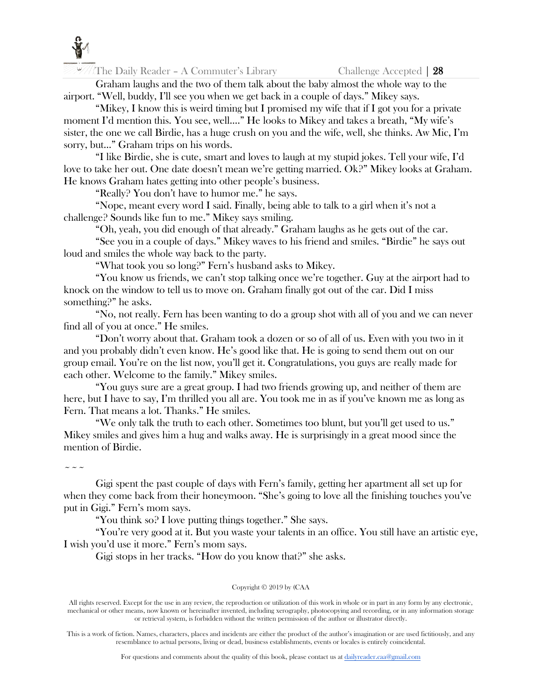

Graham laughs and the two of them talk about the baby almost the whole way to the airport. "Well, buddy, I'll see you when we get back in a couple of days." Mikey says.

"Mikey, I know this is weird timing but I promised my wife that if I got you for a private moment I'd mention this. You see, well…." He looks to Mikey and takes a breath, "My wife's sister, the one we call Birdie, has a huge crush on you and the wife, well, she thinks. Aw Mic, I'm sorry, but…" Graham trips on his words.

"I like Birdie, she is cute, smart and loves to laugh at my stupid jokes. Tell your wife, I'd love to take her out. One date doesn't mean we're getting married. Ok?" Mikey looks at Graham. He knows Graham hates getting into other people's business.

"Really? You don't have to humor me." he says.

"Nope, meant every word I said. Finally, being able to talk to a girl when it's not a challenge? Sounds like fun to me." Mikey says smiling.

"Oh, yeah, you did enough of that already." Graham laughs as he gets out of the car.

"See you in a couple of days." Mikey waves to his friend and smiles. "Birdie" he says out loud and smiles the whole way back to the party.

"What took you so long?" Fern's husband asks to Mikey.

"You know us friends, we can't stop talking once we're together. Guy at the airport had to knock on the window to tell us to move on. Graham finally got out of the car. Did I miss something?" he asks.

"No, not really. Fern has been wanting to do a group shot with all of you and we can never find all of you at once." He smiles.

"Don't worry about that. Graham took a dozen or so of all of us. Even with you two in it and you probably didn't even know. He's good like that. He is going to send them out on our group email. You're on the list now, you'll get it. Congratulations, you guys are really made for each other. Welcome to the family." Mikey smiles.

"You guys sure are a great group. I had two friends growing up, and neither of them are here, but I have to say, I'm thrilled you all are. You took me in as if you've known me as long as Fern. That means a lot. Thanks." He smiles.

"We only talk the truth to each other. Sometimes too blunt, but you'll get used to us." Mikey smiles and gives him a hug and walks away. He is surprisingly in a great mood since the mention of Birdie.

 $\sim$   $\sim$   $\sim$ 

Gigi spent the past couple of days with Fern's family, getting her apartment all set up for when they come back from their honeymoon. "She's going to love all the finishing touches you've put in Gigi." Fern's mom says.

"You think so? I love putting things together." She says.

"You're very good at it. But you waste your talents in an office. You still have an artistic eye, I wish you'd use it more." Fern's mom says.

Gigi stops in her tracks. "How do you know that?" she asks.

# Copyright © 2019 by (CAA

All rights reserved. Except for the use in any review, the reproduction or utilization of this work in whole or in part in any form by any electronic, mechanical or other means, now known or hereinafter invented, including xerography, photocopying and recording, or in any information storage or retrieval system, is forbidden without the written permission of the author or illustrator directly.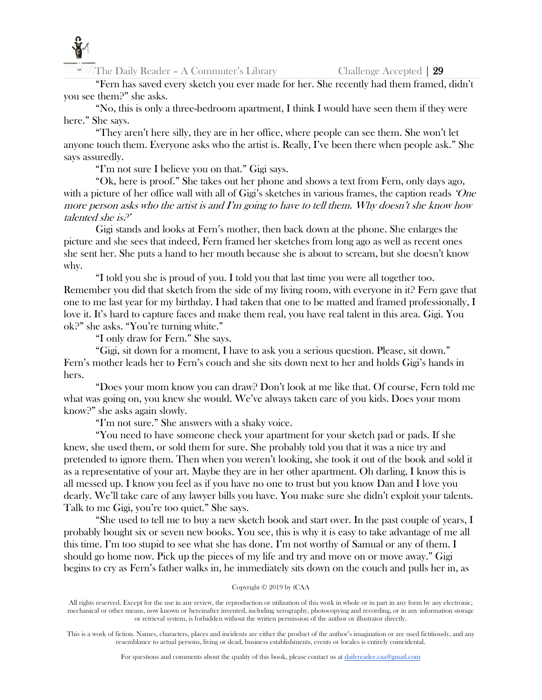

"Fern has saved every sketch you ever made for her. She recently had them framed, didn't you see them?" she asks.

"No, this is only a three-bedroom apartment, I think I would have seen them if they were here." She says.

"They aren't here silly, they are in her office, where people can see them. She won't let anyone touch them. Everyone asks who the artist is. Really, I've been there when people ask." She says assuredly.

"I'm not sure I believe you on that." Gigi says.

"Ok, here is proof." She takes out her phone and shows a text from Fern, only days ago, with a picture of her office wall with all of Gigi's sketches in various frames, the caption reads 'One more person asks who the artist is and  $\Gamma$ m going to have to tell them. Why doesn't she know how talented she is?'

Gigi stands and looks at Fern's mother, then back down at the phone. She enlarges the picture and she sees that indeed, Fern framed her sketches from long ago as well as recent ones she sent her. She puts a hand to her mouth because she is about to scream, but she doesn't know why.

"I told you she is proud of you. I told you that last time you were all together too. Remember you did that sketch from the side of my living room, with everyone in it? Fern gave that one to me last year for my birthday. I had taken that one to be matted and framed professionally, I love it. It's hard to capture faces and make them real, you have real talent in this area. Gigi. You ok?" she asks. "You're turning white."

"I only draw for Fern." She says.

"Gigi, sit down for a moment, I have to ask you a serious question. Please, sit down." Fern's mother leads her to Fern's couch and she sits down next to her and holds Gigi's hands in hers.

"Does your mom know you can draw? Don't look at me like that. Of course, Fern told me what was going on, you knew she would. We've always taken care of you kids. Does your mom know?" she asks again slowly.

"I'm not sure." She answers with a shaky voice.

"You need to have someone check your apartment for your sketch pad or pads. If she knew, she used them, or sold them for sure. She probably told you that it was a nice try and pretended to ignore them. Then when you weren't looking, she took it out of the book and sold it as a representative of your art. Maybe they are in her other apartment. Oh darling, I know this is all messed up. I know you feel as if you have no one to trust but you know Dan and I love you dearly. We'll take care of any lawyer bills you have. You make sure she didn't exploit your talents. Talk to me Gigi, you're too quiet." She says.

"She used to tell me to buy a new sketch book and start over. In the past couple of years, I probably bought six or seven new books. You see, this is why it is easy to take advantage of me all this time. I'm too stupid to see what she has done. I'm not worthy of Samual or any of them. I should go home now. Pick up the pieces of my life and try and move on or move away." Gigi begins to cry as Fern's father walks in, he immediately sits down on the couch and pulls her in, as

# Copyright © 2019 by (CAA

All rights reserved. Except for the use in any review, the reproduction or utilization of this work in whole or in part in any form by any electronic, mechanical or other means, now known or hereinafter invented, including xerography, photocopying and recording, or in any information storage or retrieval system, is forbidden without the written permission of the author or illustrator directly.

This is a work of fiction. Names, characters, places and incidents are either the product of the author's imagination or are used fictitiously, and any resemblance to actual persons, living or dead, business establishments, events or locales is entirely coincidental.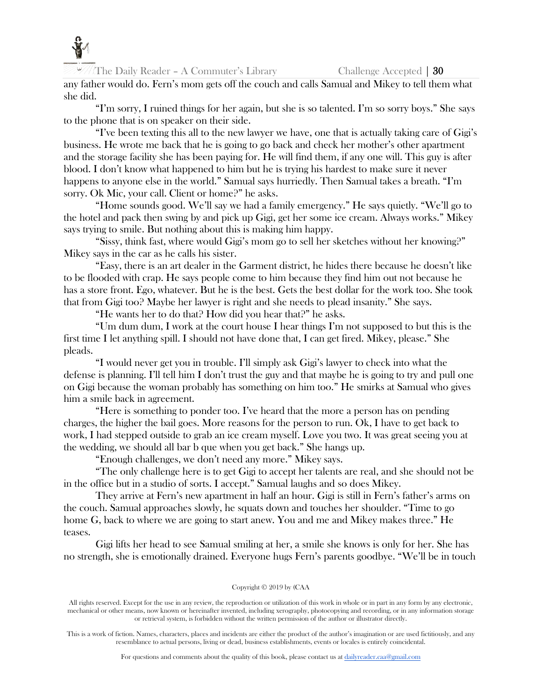

any father would do. Fern's mom gets off the couch and calls Samual and Mikey to tell them what she did.

"I'm sorry, I ruined things for her again, but she is so talented. I'm so sorry boys." She says to the phone that is on speaker on their side.

"I've been texting this all to the new lawyer we have, one that is actually taking care of Gigi's business. He wrote me back that he is going to go back and check her mother's other apartment and the storage facility she has been paying for. He will find them, if any one will. This guy is after blood. I don't know what happened to him but he is trying his hardest to make sure it never happens to anyone else in the world." Samual says hurriedly. Then Samual takes a breath. "I'm sorry. Ok Mic, your call. Client or home?" he asks.

"Home sounds good. We'll say we had a family emergency." He says quietly. "We'll go to the hotel and pack then swing by and pick up Gigi, get her some ice cream. Always works." Mikey says trying to smile. But nothing about this is making him happy.

"Sissy, think fast, where would Gigi's mom go to sell her sketches without her knowing?" Mikey says in the car as he calls his sister.

"Easy, there is an art dealer in the Garment district, he hides there because he doesn't like to be flooded with crap. He says people come to him because they find him out not because he has a store front. Ego, whatever. But he is the best. Gets the best dollar for the work too. She took that from Gigi too? Maybe her lawyer is right and she needs to plead insanity." She says.

"He wants her to do that? How did you hear that?" he asks.

"Um dum dum, I work at the court house I hear things I'm not supposed to but this is the first time I let anything spill. I should not have done that, I can get fired. Mikey, please." She pleads.

"I would never get you in trouble. I'll simply ask Gigi's lawyer to check into what the defense is planning. I'll tell him I don't trust the guy and that maybe he is going to try and pull one on Gigi because the woman probably has something on him too." He smirks at Samual who gives him a smile back in agreement.

"Here is something to ponder too. I've heard that the more a person has on pending charges, the higher the bail goes. More reasons for the person to run. Ok, I have to get back to work, I had stepped outside to grab an ice cream myself. Love you two. It was great seeing you at the wedding, we should all bar b que when you get back." She hangs up.

"Enough challenges, we don't need any more." Mikey says.

"The only challenge here is to get Gigi to accept her talents are real, and she should not be in the office but in a studio of sorts. I accept." Samual laughs and so does Mikey.

They arrive at Fern's new apartment in half an hour. Gigi is still in Fern's father's arms on the couch. Samual approaches slowly, he squats down and touches her shoulder. "Time to go home G, back to where we are going to start anew. You and me and Mikey makes three." He teases.

Gigi lifts her head to see Samual smiling at her, a smile she knows is only for her. She has no strength, she is emotionally drained. Everyone hugs Fern's parents goodbye. "We'll be in touch

# Copyright © 2019 by (CAA

All rights reserved. Except for the use in any review, the reproduction or utilization of this work in whole or in part in any form by any electronic, mechanical or other means, now known or hereinafter invented, including xerography, photocopying and recording, or in any information storage or retrieval system, is forbidden without the written permission of the author or illustrator directly.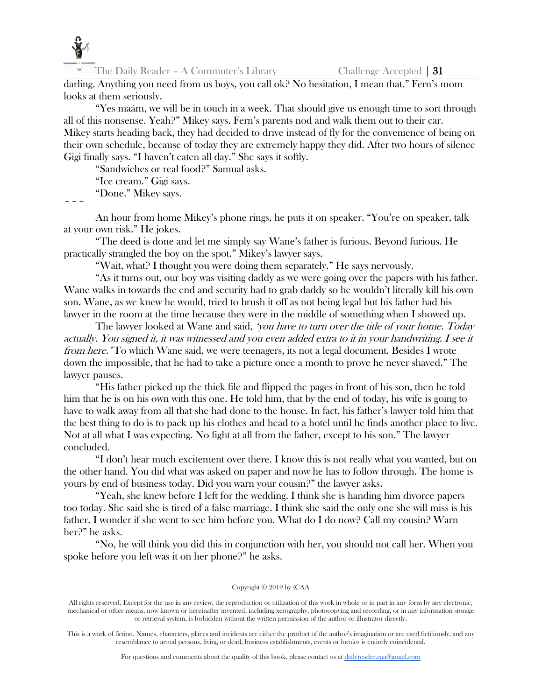

darling. Anything you need from us boys, you call ok? No hesitation, I mean that." Fern's mom looks at them seriously.

"Yes maám, we will be in touch in a week. That should give us enough time to sort through all of this nonsense. Yeah?" Mikey says. Fern's parents nod and walk them out to their car. Mikey starts heading back, they had decided to drive instead of fly for the convenience of being on their own schedule, because of today they are extremely happy they did. After two hours of silence Gigi finally says. "I haven't eaten all day." She says it softly.

"Sandwiches or real food?" Samual asks.

"Ice cream." Gigi says. "Done." Mikey says.

 $\sim$   $\sim$   $\sim$ 

An hour from home Mikey's phone rings, he puts it on speaker. "You're on speaker, talk at your own risk." He jokes.

"The deed is done and let me simply say Wane's father is furious. Beyond furious. He practically strangled the boy on the spot." Mikey's lawyer says.

"Wait, what? I thought you were doing them separately." He says nervously.

"As it turns out, our boy was visiting daddy as we were going over the papers with his father. Wane walks in towards the end and security had to grab daddy so he wouldn't literally kill his own son. Wane, as we knew he would, tried to brush it off as not being legal but his father had his lawyer in the room at the time because they were in the middle of something when I showed up.

The lawyer looked at Wane and said, 'you have to turn over the title of your home. Today actually. You signed it, it was witnessed and you even added extra to it in your handwriting. I see it from here. To which Wane said, we were teenagers, its not a legal document. Besides I wrote down the impossible, that he had to take a picture once a month to prove he never shaved." The lawyer pauses.

"His father picked up the thick file and flipped the pages in front of his son, then he told him that he is on his own with this one. He told him, that by the end of today, his wife is going to have to walk away from all that she had done to the house. In fact, his father's lawyer told him that the best thing to do is to pack up his clothes and head to a hotel until he finds another place to live. Not at all what I was expecting. No fight at all from the father, except to his son." The lawyer concluded.

"I don't hear much excitement over there. I know this is not really what you wanted, but on the other hand. You did what was asked on paper and now he has to follow through. The home is yours by end of business today. Did you warn your cousin?" the lawyer asks.

"Yeah, she knew before I left for the wedding. I think she is handing him divorce papers too today. She said she is tired of a false marriage. I think she said the only one she will miss is his father. I wonder if she went to see him before you. What do I do now? Call my cousin? Warn her?" he asks.

"No, he will think you did this in conjunction with her, you should not call her. When you spoke before you left was it on her phone?" he asks.

#### Copyright © 2019 by (CAA

All rights reserved. Except for the use in any review, the reproduction or utilization of this work in whole or in part in any form by any electronic, mechanical or other means, now known or hereinafter invented, including xerography, photocopying and recording, or in any information storage or retrieval system, is forbidden without the written permission of the author or illustrator directly.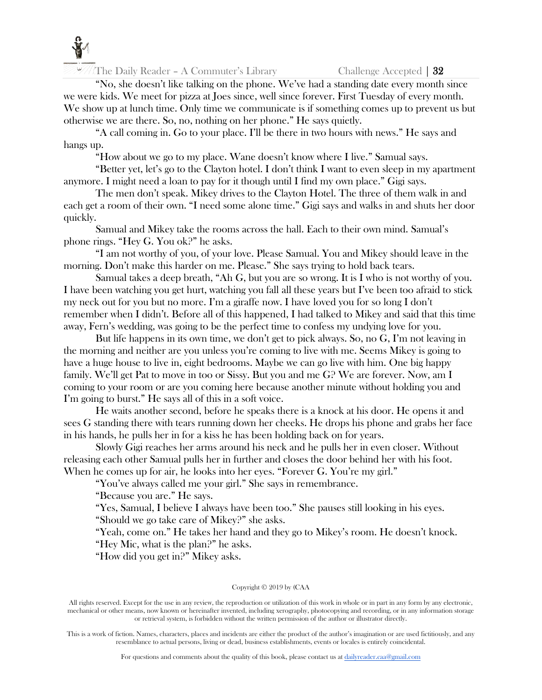

"No, she doesn't like talking on the phone. We've had a standing date every month since we were kids. We meet for pizza at Joes since, well since forever. First Tuesday of every month. We show up at lunch time. Only time we communicate is if something comes up to prevent us but otherwise we are there. So, no, nothing on her phone." He says quietly.

"A call coming in. Go to your place. I'll be there in two hours with news." He says and hangs up.

"How about we go to my place. Wane doesn't know where I live." Samual says.

"Better yet, let's go to the Clayton hotel. I don't think I want to even sleep in my apartment anymore. I might need a loan to pay for it though until I find my own place." Gigi says.

The men don't speak. Mikey drives to the Clayton Hotel. The three of them walk in and each get a room of their own. "I need some alone time." Gigi says and walks in and shuts her door quickly.

Samual and Mikey take the rooms across the hall. Each to their own mind. Samual's phone rings. "Hey G. You ok?" he asks.

"I am not worthy of you, of your love. Please Samual. You and Mikey should leave in the morning. Don't make this harder on me. Please." She says trying to hold back tears.

Samual takes a deep breath, "Ah G, but you are so wrong. It is I who is not worthy of you. I have been watching you get hurt, watching you fall all these years but I've been too afraid to stick my neck out for you but no more. I'm a giraffe now. I have loved you for so long I don't remember when I didn't. Before all of this happened, I had talked to Mikey and said that this time away, Fern's wedding, was going to be the perfect time to confess my undying love for you.

But life happens in its own time, we don't get to pick always. So, no G, I'm not leaving in the morning and neither are you unless you're coming to live with me. Seems Mikey is going to have a huge house to live in, eight bedrooms. Maybe we can go live with him. One big happy family. We'll get Pat to move in too or Sissy. But you and me G? We are forever. Now, am I coming to your room or are you coming here because another minute without holding you and I'm going to burst." He says all of this in a soft voice.

He waits another second, before he speaks there is a knock at his door. He opens it and sees G standing there with tears running down her cheeks. He drops his phone and grabs her face in his hands, he pulls her in for a kiss he has been holding back on for years.

Slowly Gigi reaches her arms around his neck and he pulls her in even closer. Without releasing each other Samual pulls her in further and closes the door behind her with his foot. When he comes up for air, he looks into her eyes. "Forever G. You're my girl."

"You've always called me your girl." She says in remembrance.

"Because you are." He says.

"Yes, Samual, I believe I always have been too." She pauses still looking in his eyes. "Should we go take care of Mikey?" she asks.

"Yeah, come on." He takes her hand and they go to Mikey's room. He doesn't knock.

"Hey Mic, what is the plan?" he asks.

"How did you get in?" Mikey asks.

# Copyright © 2019 by (CAA

All rights reserved. Except for the use in any review, the reproduction or utilization of this work in whole or in part in any form by any electronic, mechanical or other means, now known or hereinafter invented, including xerography, photocopying and recording, or in any information storage or retrieval system, is forbidden without the written permission of the author or illustrator directly.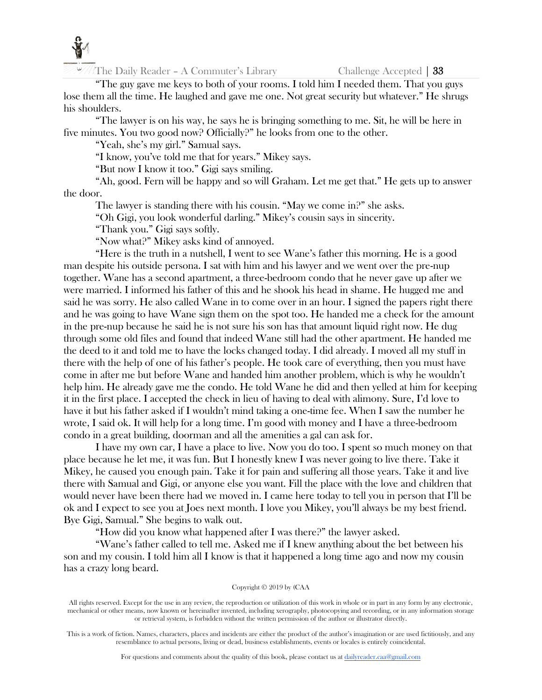

"The guy gave me keys to both of your rooms. I told him I needed them. That you guys lose them all the time. He laughed and gave me one. Not great security but whatever." He shrugs his shoulders.

"The lawyer is on his way, he says he is bringing something to me. Sit, he will be here in five minutes. You two good now? Officially?" he looks from one to the other.

"Yeah, she's my girl." Samual says.

"I know, you've told me that for years." Mikey says.

"But now I know it too." Gigi says smiling.

"Ah, good. Fern will be happy and so will Graham. Let me get that." He gets up to answer the door.

The lawyer is standing there with his cousin. "May we come in?" she asks.

"Oh Gigi, you look wonderful darling." Mikey's cousin says in sincerity.

"Thank you." Gigi says softly.

"Now what?" Mikey asks kind of annoyed.

"Here is the truth in a nutshell, I went to see Wane's father this morning. He is a good man despite his outside persona. I sat with him and his lawyer and we went over the pre-nup together. Wane has a second apartment, a three-bedroom condo that he never gave up after we were married. I informed his father of this and he shook his head in shame. He hugged me and said he was sorry. He also called Wane in to come over in an hour. I signed the papers right there and he was going to have Wane sign them on the spot too. He handed me a check for the amount in the pre-nup because he said he is not sure his son has that amount liquid right now. He dug through some old files and found that indeed Wane still had the other apartment. He handed me the deed to it and told me to have the locks changed today. I did already. I moved all my stuff in there with the help of one of his father's people. He took care of everything, then you must have come in after me but before Wane and handed him another problem, which is why he wouldn't help him. He already gave me the condo. He told Wane he did and then yelled at him for keeping it in the first place. I accepted the check in lieu of having to deal with alimony. Sure, I'd love to have it but his father asked if I wouldn't mind taking a one-time fee. When I saw the number he wrote, I said ok. It will help for a long time. I'm good with money and I have a three-bedroom condo in a great building, doorman and all the amenities a gal can ask for.

I have my own car, I have a place to live. Now you do too. I spent so much money on that place because he let me, it was fun. But I honestly knew I was never going to live there. Take it Mikey, he caused you enough pain. Take it for pain and suffering all those years. Take it and live there with Samual and Gigi, or anyone else you want. Fill the place with the love and children that would never have been there had we moved in. I came here today to tell you in person that I'll be ok and I expect to see you at Joes next month. I love you Mikey, you'll always be my best friend. Bye Gigi, Samual." She begins to walk out.

"How did you know what happened after I was there?" the lawyer asked.

"Wane's father called to tell me. Asked me if I knew anything about the bet between his son and my cousin. I told him all I know is that it happened a long time ago and now my cousin has a crazy long beard.

# Copyright © 2019 by (CAA

All rights reserved. Except for the use in any review, the reproduction or utilization of this work in whole or in part in any form by any electronic, mechanical or other means, now known or hereinafter invented, including xerography, photocopying and recording, or in any information storage or retrieval system, is forbidden without the written permission of the author or illustrator directly.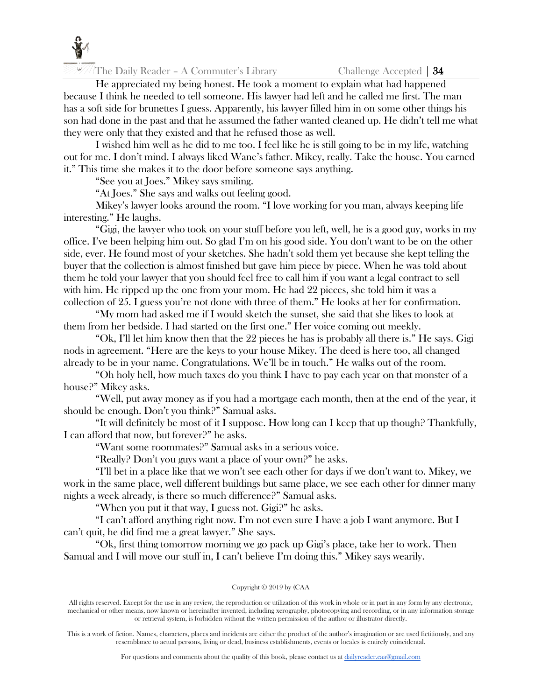

He appreciated my being honest. He took a moment to explain what had happened because I think he needed to tell someone. His lawyer had left and he called me first. The man has a soft side for brunettes I guess. Apparently, his lawyer filled him in on some other things his son had done in the past and that he assumed the father wanted cleaned up. He didn't tell me what they were only that they existed and that he refused those as well.

I wished him well as he did to me too. I feel like he is still going to be in my life, watching out for me. I don't mind. I always liked Wane's father. Mikey, really. Take the house. You earned it." This time she makes it to the door before someone says anything.

"See you at Joes." Mikey says smiling.

"At Joes." She says and walks out feeling good.

Mikey's lawyer looks around the room. "I love working for you man, always keeping life interesting." He laughs.

"Gigi, the lawyer who took on your stuff before you left, well, he is a good guy, works in my office. I've been helping him out. So glad I'm on his good side. You don't want to be on the other side, ever. He found most of your sketches. She hadn't sold them yet because she kept telling the buyer that the collection is almost finished but gave him piece by piece. When he was told about them he told your lawyer that you should feel free to call him if you want a legal contract to sell with him. He ripped up the one from your mom. He had 22 pieces, she told him it was a collection of 25. I guess you're not done with three of them." He looks at her for confirmation.

"My mom had asked me if I would sketch the sunset, she said that she likes to look at them from her bedside. I had started on the first one." Her voice coming out meekly.

"Ok, I'll let him know then that the 22 pieces he has is probably all there is." He says. Gigi nods in agreement. "Here are the keys to your house Mikey. The deed is here too, all changed already to be in your name. Congratulations. We'll be in touch." He walks out of the room.

"Oh holy hell, how much taxes do you think I have to pay each year on that monster of a house?" Mikey asks.

"Well, put away money as if you had a mortgage each month, then at the end of the year, it should be enough. Don't you think?" Samual asks.

"It will definitely be most of it I suppose. How long can I keep that up though? Thankfully, I can afford that now, but forever?" he asks.

"Want some roommates?" Samual asks in a serious voice.

"Really? Don't you guys want a place of your own?" he asks.

"I'll bet in a place like that we won't see each other for days if we don't want to. Mikey, we work in the same place, well different buildings but same place, we see each other for dinner many nights a week already, is there so much difference?" Samual asks.

"When you put it that way, I guess not. Gigi?" he asks.

"I can't afford anything right now. I'm not even sure I have a job I want anymore. But I can't quit, he did find me a great lawyer." She says.

"Ok, first thing tomorrow morning we go pack up Gigi's place, take her to work. Then Samual and I will move our stuff in, I can't believe I'm doing this." Mikey says wearily.

# Copyright © 2019 by (CAA

All rights reserved. Except for the use in any review, the reproduction or utilization of this work in whole or in part in any form by any electronic, mechanical or other means, now known or hereinafter invented, including xerography, photocopying and recording, or in any information storage or retrieval system, is forbidden without the written permission of the author or illustrator directly.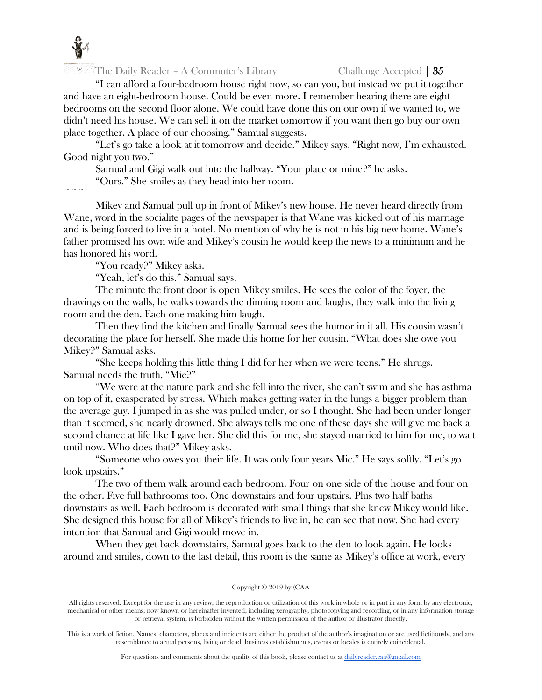

"I can afford a four-bedroom house right now, so can you, but instead we put it together and have an eight-bedroom house. Could be even more. I remember hearing there are eight bedrooms on the second floor alone. We could have done this on our own if we wanted to, we didn't need his house. We can sell it on the market tomorrow if you want then go buy our own place together. A place of our choosing." Samual suggests.

"Let's go take a look at it tomorrow and decide." Mikey says. "Right now, I'm exhausted. Good night you two."

Samual and Gigi walk out into the hallway. "Your place or mine?" he asks.

"Ours." She smiles as they head into her room.

 $\sim$   $\sim$   $\sim$ 

Mikey and Samual pull up in front of Mikey's new house. He never heard directly from Wane, word in the socialite pages of the newspaper is that Wane was kicked out of his marriage and is being forced to live in a hotel. No mention of why he is not in his big new home. Wane's father promised his own wife and Mikey's cousin he would keep the news to a minimum and he has honored his word.

"You ready?" Mikey asks.

"Yeah, let's do this." Samual says.

The minute the front door is open Mikey smiles. He sees the color of the foyer, the drawings on the walls, he walks towards the dinning room and laughs, they walk into the living room and the den. Each one making him laugh.

Then they find the kitchen and finally Samual sees the humor in it all. His cousin wasn't decorating the place for herself. She made this home for her cousin. "What does she owe you Mikey?" Samual asks.

"She keeps holding this little thing I did for her when we were teens." He shrugs. Samual needs the truth, "Mic?"

"We were at the nature park and she fell into the river, she can't swim and she has asthma on top of it, exasperated by stress. Which makes getting water in the lungs a bigger problem than the average guy. I jumped in as she was pulled under, or so I thought. She had been under longer than it seemed, she nearly drowned. She always tells me one of these days she will give me back a second chance at life like I gave her. She did this for me, she stayed married to him for me, to wait until now. Who does that?" Mikey asks.

"Someone who owes you their life. It was only four years Mic." He says softly. "Let's go look upstairs."

The two of them walk around each bedroom. Four on one side of the house and four on the other. Five full bathrooms too. One downstairs and four upstairs. Plus two half baths downstairs as well. Each bedroom is decorated with small things that she knew Mikey would like. She designed this house for all of Mikey's friends to live in, he can see that now. She had every intention that Samual and Gigi would move in.

When they get back downstairs, Samual goes back to the den to look again. He looks around and smiles, down to the last detail, this room is the same as Mikey's office at work, every

#### Copyright © 2019 by (CAA

All rights reserved. Except for the use in any review, the reproduction or utilization of this work in whole or in part in any form by any electronic, mechanical or other means, now known or hereinafter invented, including xerography, photocopying and recording, or in any information storage or retrieval system, is forbidden without the written permission of the author or illustrator directly.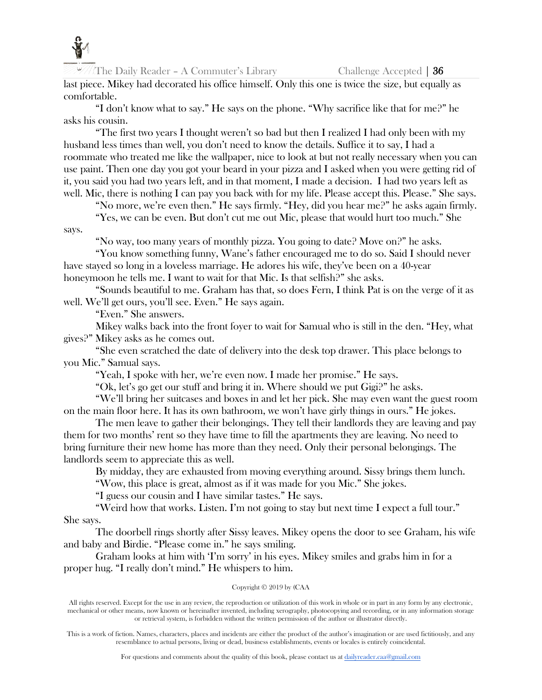

last piece. Mikey had decorated his office himself. Only this one is twice the size, but equally as comfortable.

"I don't know what to say." He says on the phone. "Why sacrifice like that for me?" he asks his cousin.

"The first two years I thought weren't so bad but then I realized I had only been with my husband less times than well, you don't need to know the details. Suffice it to say, I had a roommate who treated me like the wallpaper, nice to look at but not really necessary when you can use paint. Then one day you got your beard in your pizza and I asked when you were getting rid of it, you said you had two years left, and in that moment, I made a decision. I had two years left as well. Mic, there is nothing I can pay you back with for my life. Please accept this. Please." She says.

"No more, we're even then." He says firmly. "Hey, did you hear me?" he asks again firmly. "Yes, we can be even. But don't cut me out Mic, please that would hurt too much." She

says.

"No way, too many years of monthly pizza. You going to date? Move on?" he asks.

"You know something funny, Wane's father encouraged me to do so. Said I should never have stayed so long in a loveless marriage. He adores his wife, they've been on a 40-year honeymoon he tells me. I want to wait for that Mic. Is that selfish?" she asks.

"Sounds beautiful to me. Graham has that, so does Fern, I think Pat is on the verge of it as well. We'll get ours, you'll see. Even." He says again.

"Even." She answers.

Mikey walks back into the front foyer to wait for Samual who is still in the den. "Hey, what gives?" Mikey asks as he comes out.

"She even scratched the date of delivery into the desk top drawer. This place belongs to you Mic." Samual says.

"Yeah, I spoke with her, we're even now. I made her promise." He says.

"Ok, let's go get our stuff and bring it in. Where should we put Gigi?" he asks.

"We'll bring her suitcases and boxes in and let her pick. She may even want the guest room on the main floor here. It has its own bathroom, we won't have girly things in ours." He jokes.

The men leave to gather their belongings. They tell their landlords they are leaving and pay them for two months' rent so they have time to fill the apartments they are leaving. No need to bring furniture their new home has more than they need. Only their personal belongings. The landlords seem to appreciate this as well.

By midday, they are exhausted from moving everything around. Sissy brings them lunch.

"Wow, this place is great, almost as if it was made for you Mic." She jokes.

"I guess our cousin and I have similar tastes." He says.

"Weird how that works. Listen. I'm not going to stay but next time I expect a full tour." She says.

The doorbell rings shortly after Sissy leaves. Mikey opens the door to see Graham, his wife and baby and Birdie. "Please come in." he says smiling.

Graham looks at him with 'I'm sorry' in his eyes. Mikey smiles and grabs him in for a proper hug. "I really don't mind." He whispers to him.

# Copyright © 2019 by (CAA

All rights reserved. Except for the use in any review, the reproduction or utilization of this work in whole or in part in any form by any electronic, mechanical or other means, now known or hereinafter invented, including xerography, photocopying and recording, or in any information storage or retrieval system, is forbidden without the written permission of the author or illustrator directly.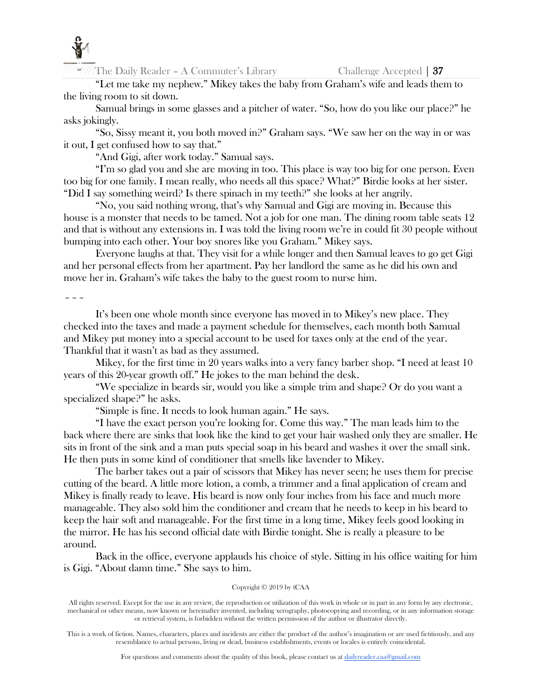

"Let me take my nephew." Mikey takes the baby from Graham's wife and leads them to the living room to sit down.

Samual brings in some glasses and a pitcher of water. "So, how do you like our place?" he asks jokingly.

"So, Sissy meant it, you both moved in?" Graham says. "We saw her on the way in or was it out, I get confused how to say that."

"And Gigi, after work today." Samual says.

"I'm so glad you and she are moving in too. This place is way too big for one person. Even too big for one family. I mean really, who needs all this space? What?" Birdie looks at her sister. "Did I say something weird? Is there spinach in my teeth?" she looks at her angrily.

"No, you said nothing wrong, that's why Samual and Gigi are moving in. Because this house is a monster that needs to be tamed. Not a job for one man. The dining room table seats 12 and that is without any extensions in. I was told the living room we're in could fit 30 people without bumping into each other. Your boy snores like you Graham." Mikey says.

Everyone laughs at that. They visit for a while longer and then Samual leaves to go get Gigi and her personal effects from her apartment. Pay her landlord the same as he did his own and move her in. Graham's wife takes the baby to the guest room to nurse him.

 $\sim$   $\sim$   $\sim$ 

It's been one whole month since everyone has moved in to Mikey's new place. They checked into the taxes and made a payment schedule for themselves, each month both Samual and Mikey put money into a special account to be used for taxes only at the end of the year. Thankful that it wasn't as bad as they assumed.

Mikey, for the first time in 20 years walks into a very fancy barber shop. "I need at least 10 years of this 20-year growth off." He jokes to the man behind the desk.

"We specialize in beards sir, would you like a simple trim and shape? Or do you want a specialized shape?" he asks.

"Simple is fine. It needs to look human again." He says.

"I have the exact person you're looking for. Come this way." The man leads him to the back where there are sinks that look like the kind to get your hair washed only they are smaller. He sits in front of the sink and a man puts special soap in his beard and washes it over the small sink. He then puts in some kind of conditioner that smells like lavender to Mikey.

The barber takes out a pair of scissors that Mikey has never seen; he uses them for precise cutting of the beard. A little more lotion, a comb, a trimmer and a final application of cream and Mikey is finally ready to leave. His beard is now only four inches from his face and much more manageable. They also sold him the conditioner and cream that he needs to keep in his beard to keep the hair soft and manageable. For the first time in a long time, Mikey feels good looking in the mirror. He has his second official date with Birdie tonight. She is really a pleasure to be around.

Back in the office, everyone applauds his choice of style. Sitting in his office waiting for him is Gigi. "About damn time." She says to him.

# Copyright © 2019 by (CAA

All rights reserved. Except for the use in any review, the reproduction or utilization of this work in whole or in part in any form by any electronic, mechanical or other means, now known or hereinafter invented, including xerography, photocopying and recording, or in any information storage or retrieval system, is forbidden without the written permission of the author or illustrator directly.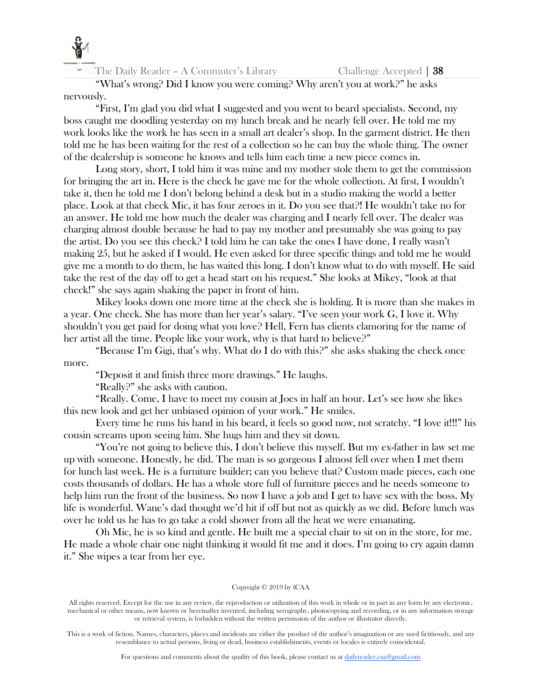

"What's wrong? Did I know you were coming? Why aren't you at work?" he asks nervously.

"First, I'm glad you did what I suggested and you went to beard specialists. Second, my boss caught me doodling yesterday on my lunch break and he nearly fell over. He told me my work looks like the work he has seen in a small art dealer's shop. In the garment district. He then told me he has been waiting for the rest of a collection so he can buy the whole thing. The owner of the dealership is someone he knows and tells him each time a new piece comes in.

Long story, short, I told him it was mine and my mother stole them to get the commission for bringing the art in. Here is the check he gave me for the whole collection. At first, I wouldn't take it, then he told me I don't belong behind a desk but in a studio making the world a better place. Look at that check Mic, it has four zeroes in it. Do you see that?! He wouldn't take no for an answer. He told me how much the dealer was charging and I nearly fell over. The dealer was charging almost double because he had to pay my mother and presumably she was going to pay the artist. Do you see this check? I told him he can take the ones I have done, I really wasn't making 25, but he asked if I would. He even asked for three specific things and told me he would give me a month to do them, he has waited this long. I don't know what to do with myself. He said take the rest of the day off to get a head start on his request." She looks at Mikey, "look at that check!" she says again shaking the paper in front of him.

Mikey looks down one more time at the check she is holding. It is more than she makes in a year. One check. She has more than her year's salary. "I've seen your work G, I love it. Why shouldn't you get paid for doing what you love? Hell, Fern has clients clamoring for the name of her artist all the time. People like your work, why is that hard to believe?"

"Because I'm Gigi, that's why. What do I do with this?" she asks shaking the check once more.

"Deposit it and finish three more drawings." He laughs.

"Really?" she asks with caution.

"Really. Come, I have to meet my cousin at Joes in half an hour. Let's see how she likes this new look and get her unbiased opinion of your work." He smiles.

Every time he runs his hand in his beard, it feels so good now, not scratchy. "I love it!!!" his cousin screams upon seeing him. She hugs him and they sit down.

"You're not going to believe this, I don't believe this myself. But my ex-father in law set me up with someone. Honestly, he did. The man is so gorgeous I almost fell over when I met them for lunch last week. He is a furniture builder; can you believe that? Custom made pieces, each one costs thousands of dollars. He has a whole store full of furniture pieces and he needs someone to help him run the front of the business. So now I have a job and I get to have sex with the boss. My life is wonderful. Wane's dad thought we'd hit if off but not as quickly as we did. Before lunch was over he told us he has to go take a cold shower from all the heat we were emanating.

Oh Mic, he is so kind and gentle. He built me a special chair to sit on in the store, for me. He made a whole chair one night thinking it would fit me and it does. I'm going to cry again damn it." She wipes a tear from her eye.

# Copyright © 2019 by (CAA

All rights reserved. Except for the use in any review, the reproduction or utilization of this work in whole or in part in any form by any electronic, mechanical or other means, now known or hereinafter invented, including xerography, photocopying and recording, or in any information storage or retrieval system, is forbidden without the written permission of the author or illustrator directly.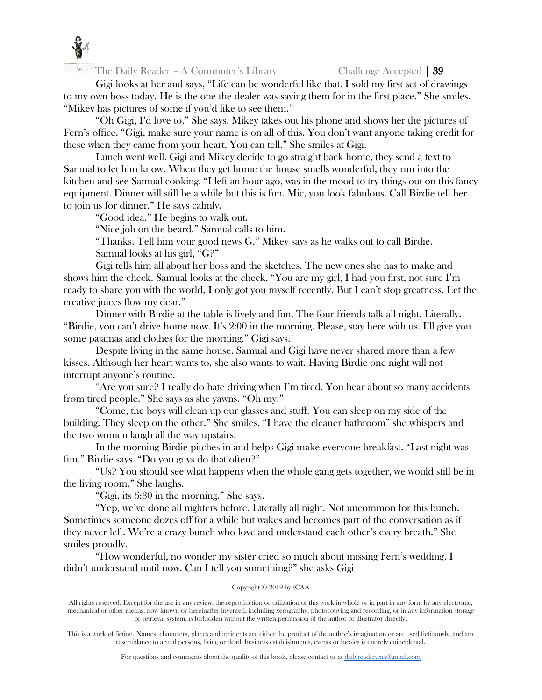

Gigi looks at her and says, "Life can be wonderful like that. I sold my first set of drawings to my own boss today. He is the one the dealer was saving them for in the first place." She smiles. "Mikey has pictures of some if you'd like to see them."

"Oh Gigi, I'd love to." She says. Mikey takes out his phone and shows her the pictures of Fern's office. "Gigi, make sure your name is on all of this. You don't want anyone taking credit for these when they came from your heart. You can tell." She smiles at Gigi.

Lunch went well. Gigi and Mikey decide to go straight back home, they send a text to Samual to let him know. When they get home the house smells wonderful, they run into the kitchen and see Samual cooking. "I left an hour ago, was in the mood to try things out on this fancy equipment. Dinner will still be a while but this is fun. Mic, you look fabulous. Call Birdie tell her to join us for dinner." He says calmly.

"Good idea." He begins to walk out.

"Nice job on the beard." Samual calls to him.

"Thanks. Tell him your good news G." Mikey says as he walks out to call Birdie. Samual looks at his girl, "G?"

Gigi tells him all about her boss and the sketches. The new ones she has to make and shows him the check. Samual looks at the check, "You are my girl, I had you first, not sure I'm ready to share you with the world, I only got you myself recently. But I can't stop greatness. Let the creative juices flow my dear."

Dinner with Birdie at the table is lively and fun. The four friends talk all night. Literally. "Birdie, you can't drive home now. It's 2:00 in the morning. Please, stay here with us. I'll give you some pajamas and clothes for the morning." Gigi says.

Despite living in the same house. Samual and Gigi have never shared more than a few kisses. Although her heart wants to, she also wants to wait. Having Birdie one night will not interrupt anyone's routine.

"Are you sure? I really do hate driving when I'm tired. You hear about so many accidents from tired people." She says as she yawns. "Oh my."

"Come, the boys will clean up our glasses and stuff. You can sleep on my side of the building. They sleep on the other." She smiles. "I have the cleaner bathroom" she whispers and the two women laugh all the way upstairs.

In the morning Birdie pitches in and helps Gigi make everyone breakfast. "Last night was fun." Birdie says. "Do you guys do that often?"

"Us? You should see what happens when the whole gang gets together, we would still be in the living room." She laughs.

"Gigi, its 6:30 in the morning." She says.

"Yep, we've done all nighters before. Literally all night. Not uncommon for this bunch. Sometimes someone dozes off for a while but wakes and becomes part of the conversation as if they never left. We're a crazy bunch who love and understand each other's every breath." She smiles proudly.

"How wonderful, no wonder my sister cried so much about missing Fern's wedding. I didn't understand until now. Can I tell you something?" she asks Gigi

# Copyright © 2019 by (CAA

All rights reserved. Except for the use in any review, the reproduction or utilization of this work in whole or in part in any form by any electronic, mechanical or other means, now known or hereinafter invented, including xerography, photocopying and recording, or in any information storage or retrieval system, is forbidden without the written permission of the author or illustrator directly.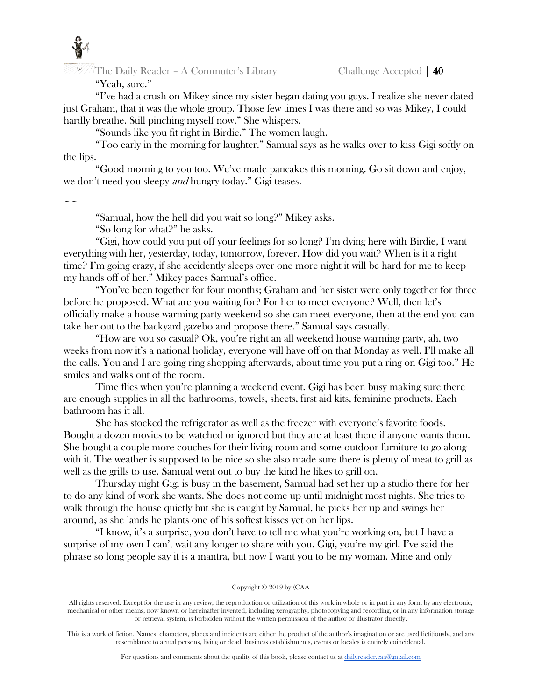# "Yeah, sure."

"I've had a crush on Mikey since my sister began dating you guys. I realize she never dated just Graham, that it was the whole group. Those few times I was there and so was Mikey, I could hardly breathe. Still pinching myself now." She whispers.

"Sounds like you fit right in Birdie." The women laugh.

"Too early in the morning for laughter." Samual says as he walks over to kiss Gigi softly on the lips.

"Good morning to you too. We've made pancakes this morning. Go sit down and enjoy, we don't need you sleepy *and* hungry today." Gigi teases.

 $\sim$   $\sim$ 

"Samual, how the hell did you wait so long?" Mikey asks.

"So long for what?" he asks.

"Gigi, how could you put off your feelings for so long? I'm dying here with Birdie, I want everything with her, yesterday, today, tomorrow, forever. How did you wait? When is it a right time? I'm going crazy, if she accidently sleeps over one more night it will be hard for me to keep my hands off of her." Mikey paces Samual's office.

"You've been together for four months; Graham and her sister were only together for three before he proposed. What are you waiting for? For her to meet everyone? Well, then let's officially make a house warming party weekend so she can meet everyone, then at the end you can take her out to the backyard gazebo and propose there." Samual says casually.

"How are you so casual? Ok, you're right an all weekend house warming party, ah, two weeks from now it's a national holiday, everyone will have off on that Monday as well. I'll make all the calls. You and I are going ring shopping afterwards, about time you put a ring on Gigi too." He smiles and walks out of the room.

Time flies when you're planning a weekend event. Gigi has been busy making sure there are enough supplies in all the bathrooms, towels, sheets, first aid kits, feminine products. Each bathroom has it all.

She has stocked the refrigerator as well as the freezer with everyone's favorite foods. Bought a dozen movies to be watched or ignored but they are at least there if anyone wants them. She bought a couple more couches for their living room and some outdoor furniture to go along with it. The weather is supposed to be nice so she also made sure there is plenty of meat to grill as well as the grills to use. Samual went out to buy the kind he likes to grill on.

Thursday night Gigi is busy in the basement, Samual had set her up a studio there for her to do any kind of work she wants. She does not come up until midnight most nights. She tries to walk through the house quietly but she is caught by Samual, he picks her up and swings her around, as she lands he plants one of his softest kisses yet on her lips.

"I know, it's a surprise, you don't have to tell me what you're working on, but I have a surprise of my own I can't wait any longer to share with you. Gigi, you're my girl. I've said the phrase so long people say it is a mantra, but now I want you to be my woman. Mine and only

# Copyright © 2019 by (CAA

All rights reserved. Except for the use in any review, the reproduction or utilization of this work in whole or in part in any form by any electronic, mechanical or other means, now known or hereinafter invented, including xerography, photocopying and recording, or in any information storage or retrieval system, is forbidden without the written permission of the author or illustrator directly.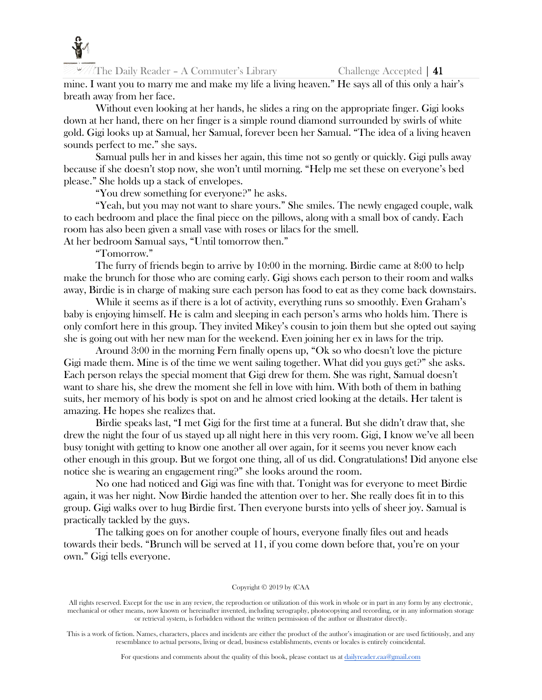

 $\mathbb{Z}/\mathbb{Z}$  The Daily Reader – A Commuter's Library Challenge Accepted | 41

mine. I want you to marry me and make my life a living heaven." He says all of this only a hair's breath away from her face.

Without even looking at her hands, he slides a ring on the appropriate finger. Gigi looks down at her hand, there on her finger is a simple round diamond surrounded by swirls of white gold. Gigi looks up at Samual, her Samual, forever been her Samual. "The idea of a living heaven sounds perfect to me." she says.

Samual pulls her in and kisses her again, this time not so gently or quickly. Gigi pulls away because if she doesn't stop now, she won't until morning. "Help me set these on everyone's bed please." She holds up a stack of envelopes.

"You drew something for everyone?" he asks.

"Yeah, but you may not want to share yours." She smiles. The newly engaged couple, walk to each bedroom and place the final piece on the pillows, along with a small box of candy. Each room has also been given a small vase with roses or lilacs for the smell. At her bedroom Samual says, "Until tomorrow then."

"Tomorrow."

The furry of friends begin to arrive by 10:00 in the morning. Birdie came at 8:00 to help make the brunch for those who are coming early. Gigi shows each person to their room and walks away, Birdie is in charge of making sure each person has food to eat as they come back downstairs.

While it seems as if there is a lot of activity, everything runs so smoothly. Even Graham's baby is enjoying himself. He is calm and sleeping in each person's arms who holds him. There is only comfort here in this group. They invited Mikey's cousin to join them but she opted out saying she is going out with her new man for the weekend. Even joining her ex in laws for the trip.

Around 3:00 in the morning Fern finally opens up, "Ok so who doesn't love the picture Gigi made them. Mine is of the time we went sailing together. What did you guys get?" she asks. Each person relays the special moment that Gigi drew for them. She was right, Samual doesn't want to share his, she drew the moment she fell in love with him. With both of them in bathing suits, her memory of his body is spot on and he almost cried looking at the details. Her talent is amazing. He hopes she realizes that.

Birdie speaks last, "I met Gigi for the first time at a funeral. But she didn't draw that, she drew the night the four of us stayed up all night here in this very room. Gigi, I know we've all been busy tonight with getting to know one another all over again, for it seems you never know each other enough in this group. But we forgot one thing, all of us did. Congratulations! Did anyone else notice she is wearing an engagement ring?" she looks around the room.

No one had noticed and Gigi was fine with that. Tonight was for everyone to meet Birdie again, it was her night. Now Birdie handed the attention over to her. She really does fit in to this group. Gigi walks over to hug Birdie first. Then everyone bursts into yells of sheer joy. Samual is practically tackled by the guys.

The talking goes on for another couple of hours, everyone finally files out and heads towards their beds. "Brunch will be served at 11, if you come down before that, you're on your own." Gigi tells everyone.

#### Copyright © 2019 by (CAA

All rights reserved. Except for the use in any review, the reproduction or utilization of this work in whole or in part in any form by any electronic, mechanical or other means, now known or hereinafter invented, including xerography, photocopying and recording, or in any information storage or retrieval system, is forbidden without the written permission of the author or illustrator directly.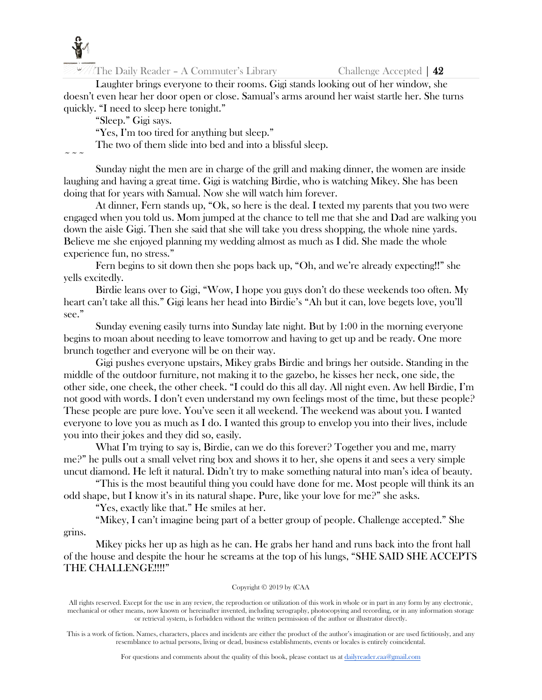

Laughter brings everyone to their rooms. Gigi stands looking out of her window, she doesn't even hear her door open or close. Samual's arms around her waist startle her. She turns quickly. "I need to sleep here tonight."

"Sleep." Gigi says.

"Yes, I'm too tired for anything but sleep."

The two of them slide into bed and into a blissful sleep.

 $\sim$   $\sim$   $\sim$ 

Sunday night the men are in charge of the grill and making dinner, the women are inside laughing and having a great time. Gigi is watching Birdie, who is watching Mikey. She has been doing that for years with Samual. Now she will watch him forever.

At dinner, Fern stands up, "Ok, so here is the deal. I texted my parents that you two were engaged when you told us. Mom jumped at the chance to tell me that she and Dad are walking you down the aisle Gigi. Then she said that she will take you dress shopping, the whole nine yards. Believe me she enjoyed planning my wedding almost as much as I did. She made the whole experience fun, no stress."

Fern begins to sit down then she pops back up, "Oh, and we're already expecting!!" she yells excitedly.

Birdie leans over to Gigi, "Wow, I hope you guys don't do these weekends too often. My heart can't take all this." Gigi leans her head into Birdie's "Ah but it can, love begets love, you'll see."

Sunday evening easily turns into Sunday late night. But by 1:00 in the morning everyone begins to moan about needing to leave tomorrow and having to get up and be ready. One more brunch together and everyone will be on their way.

Gigi pushes everyone upstairs, Mikey grabs Birdie and brings her outside. Standing in the middle of the outdoor furniture, not making it to the gazebo, he kisses her neck, one side, the other side, one cheek, the other cheek. "I could do this all day. All night even. Aw hell Birdie, I'm not good with words. I don't even understand my own feelings most of the time, but these people? These people are pure love. You've seen it all weekend. The weekend was about you. I wanted everyone to love you as much as I do. I wanted this group to envelop you into their lives, include you into their jokes and they did so, easily.

What I'm trying to say is, Birdie, can we do this forever? Together you and me, marry me?" he pulls out a small velvet ring box and shows it to her, she opens it and sees a very simple uncut diamond. He left it natural. Didn't try to make something natural into man's idea of beauty.

"This is the most beautiful thing you could have done for me. Most people will think its an odd shape, but I know it's in its natural shape. Pure, like your love for me?" she asks.

"Yes, exactly like that." He smiles at her.

"Mikey, I can't imagine being part of a better group of people. Challenge accepted." She

grins.

Mikey picks her up as high as he can. He grabs her hand and runs back into the front hall of the house and despite the hour he screams at the top of his lungs, "SHE SAID SHE ACCEPTS THE CHALLENGE!!!!"

# Copyright © 2019 by (CAA

All rights reserved. Except for the use in any review, the reproduction or utilization of this work in whole or in part in any form by any electronic, mechanical or other means, now known or hereinafter invented, including xerography, photocopying and recording, or in any information storage or retrieval system, is forbidden without the written permission of the author or illustrator directly.